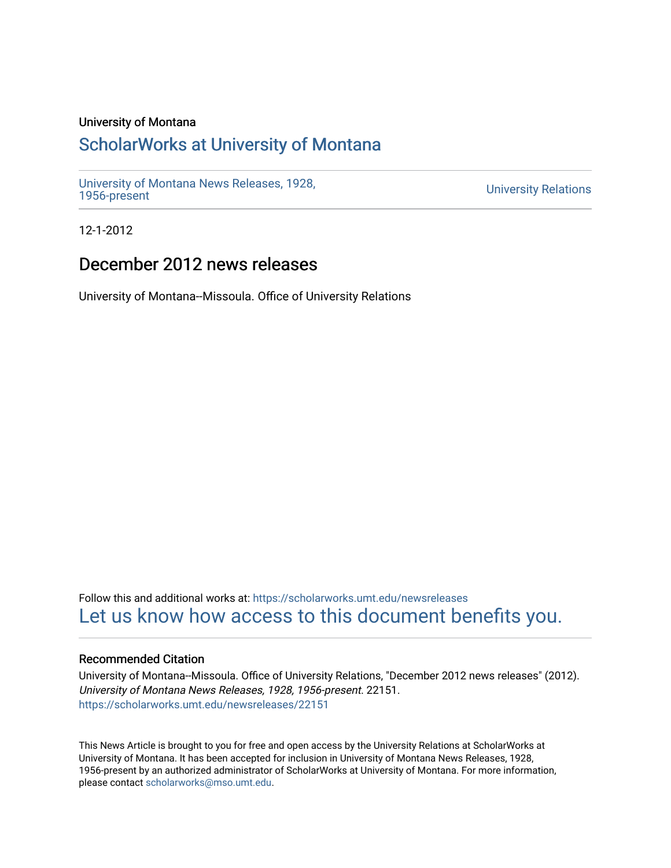# University of Montana

# [ScholarWorks at University of Montana](https://scholarworks.umt.edu/)

[University of Montana News Releases, 1928,](https://scholarworks.umt.edu/newsreleases) 

**University Relations** 

12-1-2012

# December 2012 news releases

University of Montana--Missoula. Office of University Relations

Follow this and additional works at: [https://scholarworks.umt.edu/newsreleases](https://scholarworks.umt.edu/newsreleases?utm_source=scholarworks.umt.edu%2Fnewsreleases%2F22151&utm_medium=PDF&utm_campaign=PDFCoverPages) [Let us know how access to this document benefits you.](https://goo.gl/forms/s2rGfXOLzz71qgsB2) 

# Recommended Citation

University of Montana--Missoula. Office of University Relations, "December 2012 news releases" (2012). University of Montana News Releases, 1928, 1956-present. 22151. [https://scholarworks.umt.edu/newsreleases/22151](https://scholarworks.umt.edu/newsreleases/22151?utm_source=scholarworks.umt.edu%2Fnewsreleases%2F22151&utm_medium=PDF&utm_campaign=PDFCoverPages) 

This News Article is brought to you for free and open access by the University Relations at ScholarWorks at University of Montana. It has been accepted for inclusion in University of Montana News Releases, 1928, 1956-present by an authorized administrator of ScholarWorks at University of Montana. For more information, please contact [scholarworks@mso.umt.edu.](mailto:scholarworks@mso.umt.edu)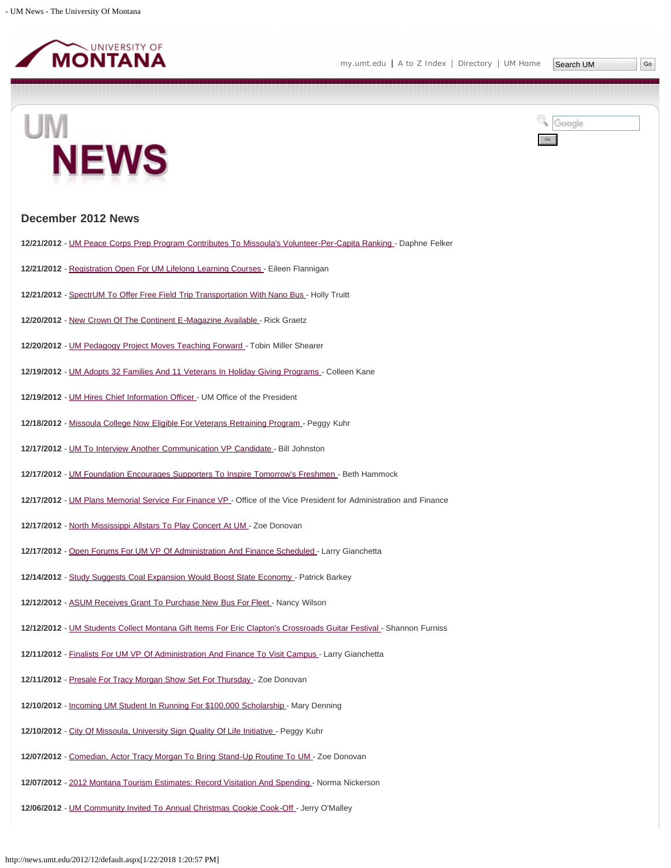

**NEWS** 



# **December 2012 News**

- **12/21/2012** - [UM Peace Corps Prep Program Contributes To Missoula's Volunteer-Per-Capita Ranking](#page-3-0)  Daphne Felker
- **12/21/2012** - [Registration Open For UM Lifelong Learning Courses -](#page-4-0) Eileen Flannigan
- **12/21/2012** - [SpectrUM To Offer Free Field Trip Transportation With Nano Bus](#page-5-0)  Holly Truitt
- **12/20/2012** - [New Crown Of The Continent E-Magazine Available -](#page-6-0) Rick Graetz
- **12/20/2012** - [UM Pedagogy Project Moves Teaching Forward -](#page-7-0) Tobin Miller Shearer
- **12/19/2012** - [UM Adopts 32 Families And 11 Veterans In Holiday Giving Programs -](#page-9-0) Colleen Kane
- **12/19/2012** - [UM Hires Chief Information Officer -](#page-10-0) UM Office of the President
- **12/18/2012** - [Missoula College Now Eligible For Veterans Retraining Program](#page-11-0)  Peggy Kuhr
- **12/17/2012** - [UM To Interview Another Communication VP Candidate -](#page-12-0) Bill Johnston
- **12/17/2012** - [UM Foundation Encourages Supporters To Inspire Tomorrow's Freshmen](#page-13-0)  Beth Hammock
- **12/17/2012** - [UM Plans Memorial Service For Finance VP -](#page-14-0) Office of the Vice President for Administration and Finance
- **12/17/2012** - [North Mississippi Allstars To Play Concert At UM -](#page-15-0) Zoe Donovan
- **12/17/2012** - [Open Forums For UM VP Of Administration And Finance Scheduled](#page-16-0)  Larry Gianchetta
- **12/14/2012** - [Study Suggests Coal Expansion Would Boost State Economy -](#page-17-0) Patrick Barkey
- **12/12/2012** - [ASUM Receives Grant To Purchase New Bus For Fleet -](#page-18-0) Nancy Wilson
- **12/12/2012** - [UM Students Collect Montana Gift Items For Eric Clapton's Crossroads Guitar Festival -](#page-19-0) Shannon Furniss
- **12/11/2012** - [Finalists For UM VP Of Administration And Finance To Visit Campus](#page-21-0)  Larry Gianchetta
- **12/11/2012** - [Presale For Tracy Morgan Show Set For Thursday](#page-22-0)  Zoe Donovan
- **12/10/2012** - [Incoming UM Student In Running For \\$100,000 Scholarship](#page-23-0)  Mary Denning
- **12/10/2012** - [City Of Missoula, University Sign Quality Of Life Initiative -](#page-25-0) Peggy Kuhr
- **12/07/2012** - [Comedian, Actor Tracy Morgan To Bring Stand-Up Routine To UM -](#page-27-0) Zoe Donovan
- **12/07/2012** - [2012 Montana Tourism Estimates: Record Visitation And Spending -](#page-28-0) Norma Nickerson
- **12/06/2012** - [UM Community Invited To Annual Christmas Cookie Cook-Off](#page-30-0)  Jerry O'Malley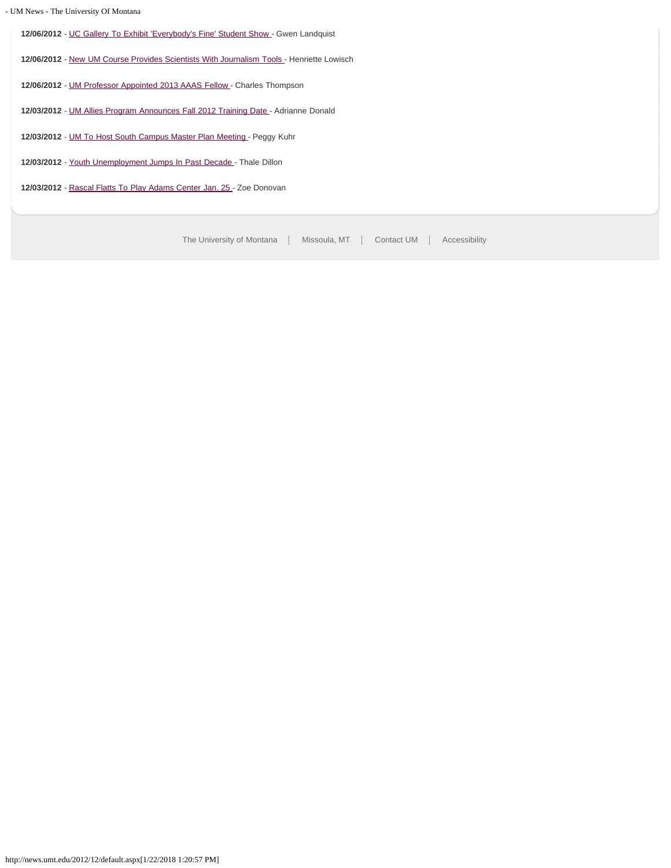**12/06/2012** - [UC Gallery To Exhibit 'Everybody's Fine' Student Show -](#page-31-0) Gwen Landquist

**12/06/2012** - [New UM Course Provides Scientists With Journalism Tools -](#page-32-0) Henriette Lowisch

**12/06/2012** - [UM Professor Appointed 2013 AAAS Fellow](#page-33-0) - Charles Thompson

**12/03/2012** - [UM Allies Program Announces Fall 2012 Training Date](#page-35-0) - Adrianne Donald

**12/03/2012** - [UM To Host South Campus Master Plan Meeting](#page-36-0) - Peggy Kuhr

**12/03/2012** - [Youth Unemployment Jumps In Past Decade](#page-37-0) - Thale Dillon

**12/03/2012** - [Rascal Flatts To Play Adams Center Jan. 25](#page-39-0) - Zoe Donovan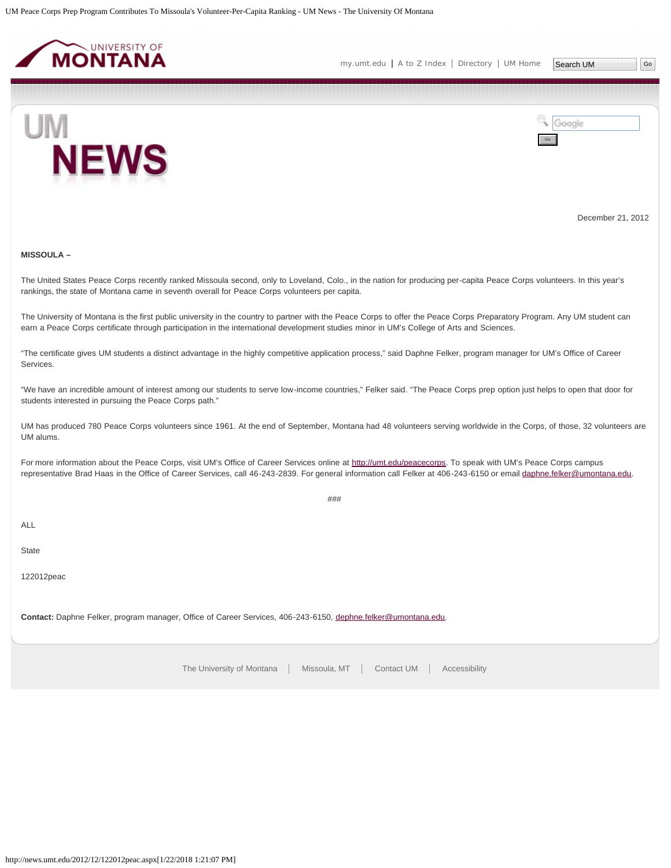<span id="page-3-0"></span>

[my.umt.edu](http://my.umt.edu/) | [A to Z Index](http://www.umt.edu/search/atoz/) | [Directory](http://www.umt.edu/directory/) | [UM Home](http://www.umt.edu/)



Go

Google



December 21, 2012

# **MISSOULA –**

The United States Peace Corps recently ranked Missoula second, only to Loveland, Colo., in the nation for producing per-capita Peace Corps volunteers. In this year's rankings, the state of Montana came in seventh overall for Peace Corps volunteers per capita.

The University of Montana is the first public university in the country to partner with the Peace Corps to offer the Peace Corps Preparatory Program. Any UM student can earn a Peace Corps certificate through participation in the international development studies minor in UM's College of Arts and Sciences.

"The certificate gives UM students a distinct advantage in the highly competitive application process," said Daphne Felker, program manager for UM's Office of Career Services.

"We have an incredible amount of interest among our students to serve low-income countries," Felker said. "The Peace Corps prep option just helps to open that door for students interested in pursuing the Peace Corps path."

UM has produced 780 Peace Corps volunteers since 1961. At the end of September, Montana had 48 volunteers serving worldwide in the Corps, of those, 32 volunteers are UM alums.

For more information about the Peace Corps, visit UM's Office of Career Services online at [http://umt.edu/peacecorps.](http://umt.edu/peacecorps) To speak with UM's Peace Corps campus representative Brad Haas in the Office of Career Services, call 46-243-2839. For general information call Felker at 406-243-6150 or email [daphne.felker@umontana.edu.](mailto:daphne.felker@umontana.edu)

 $#HH$ 

ALL

**State** 

122012peac

**Contact:** Daphne Felker, program manager, Office of Career Services, 406-243-6150, [dephne.felker@umontana.edu](mailto:dephne.felker@umontana.edu).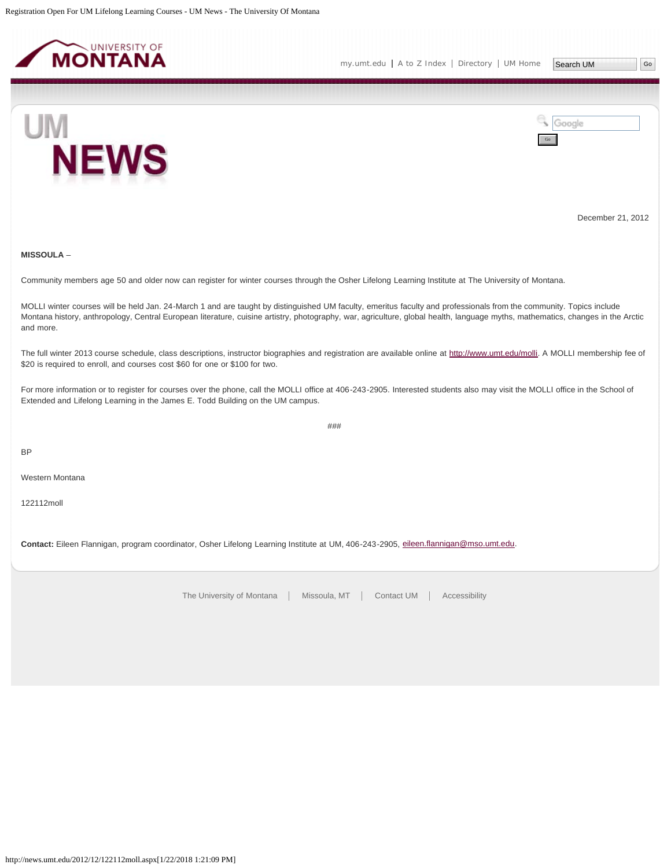<span id="page-4-0"></span>



December 21, 2012

### **MISSOULA** –

Community members age 50 and older now can register for winter courses through the Osher Lifelong Learning Institute at The University of Montana.

MOLLI winter courses will be held Jan. 24-March 1 and are taught by distinguished UM faculty, emeritus faculty and professionals from the community. Topics include Montana history, anthropology, Central European literature, cuisine artistry, photography, war, agriculture, global health, language myths, mathematics, changes in the Arctic and more.

The full winter 2013 course schedule, class descriptions, instructor biographies and registration are available online at [http://www.umt.edu/molli.](http://www.umt.edu/molli) A MOLLI membership fee of \$20 is required to enroll, and courses cost \$60 for one or \$100 for two.

For more information or to register for courses over the phone, call the MOLLI office at 406-243-2905. Interested students also may visit the MOLLI office in the School of Extended and Lifelong Learning in the James E. Todd Building on the UM campus.

###

BP

Western Montana

122112moll

**Contact:** Eileen Flannigan, program coordinator, Osher Lifelong Learning Institute at UM, 406-243-2905, [eileen.flannigan@mso.umt.edu.](mailto:eileen.flannigan@mso.umt.edu)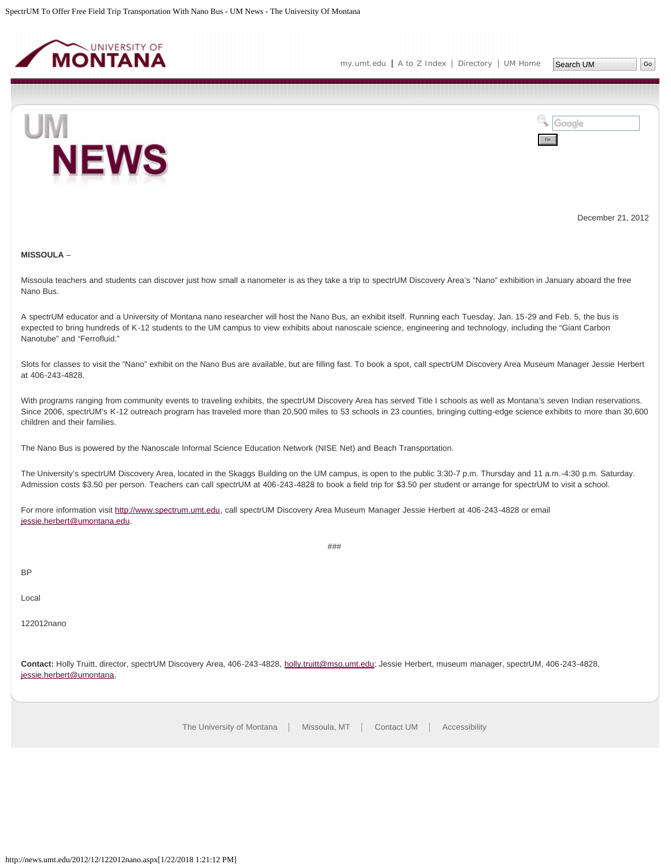<span id="page-5-0"></span>

Go

Google



December 21, 2012

#### **MISSOULA** –

Missoula teachers and students can discover just how small a nanometer is as they take a trip to spectrUM Discovery Area's "Nano" exhibition in January aboard the free Nano Bus.

A spectrUM educator and a University of Montana nano researcher will host the Nano Bus, an exhibit itself. Running each Tuesday, Jan. 15-29 and Feb. 5, the bus is expected to bring hundreds of K-12 students to the UM campus to view exhibits about nanoscale science, engineering and technology, including the "Giant Carbon Nanotube" and "Ferrofluid."

Slots for classes to visit the "Nano" exhibit on the Nano Bus are available, but are filling fast. To book a spot, call spectrUM Discovery Area Museum Manager Jessie Herbert at 406-243-4828.

With programs ranging from community events to traveling exhibits, the spectrUM Discovery Area has served Title I schools as well as Montana's seven Indian reservations. Since 2006, spectrUM's K-12 outreach program has traveled more than 20,500 miles to 53 schools in 23 counties, bringing cutting-edge science exhibits to more than 30,600 children and their families.

The Nano Bus is powered by the Nanoscale Informal Science Education Network (NISE Net) and Beach Transportation.

The University's spectrUM Discovery Area, located in the Skaggs Building on the UM campus, is open to the public 3:30-7 p.m. Thursday and 11 a.m.-4:30 p.m. Saturday. Admission costs \$3.50 per person. Teachers can call spectrUM at 406-243-4828 to book a field trip for \$3.50 per student or arrange for spectrUM to visit a school.

###

For more information visit [http://www.spectrum.umt.edu](http://www.spectrum.umt.edu/), call spectrUM Discovery Area Museum Manager Jessie Herbert at 406-243-4828 or email [jessie.herbert@umontana.edu](mailto:jessie.herbert@umontana.edu).

BP

Local

122012nano

Contact: Holly Truitt, director, spectrUM Discovery Area, 406-243-4828, [holly.truitt@mso.umt.edu;](mailto:holly.truitt@mso.umt.edu) Jessie Herbert, museum manager, spectrUM, 406-243-4828, [jessie.herbert@umontana](mailto:jessie.herbert@umontana).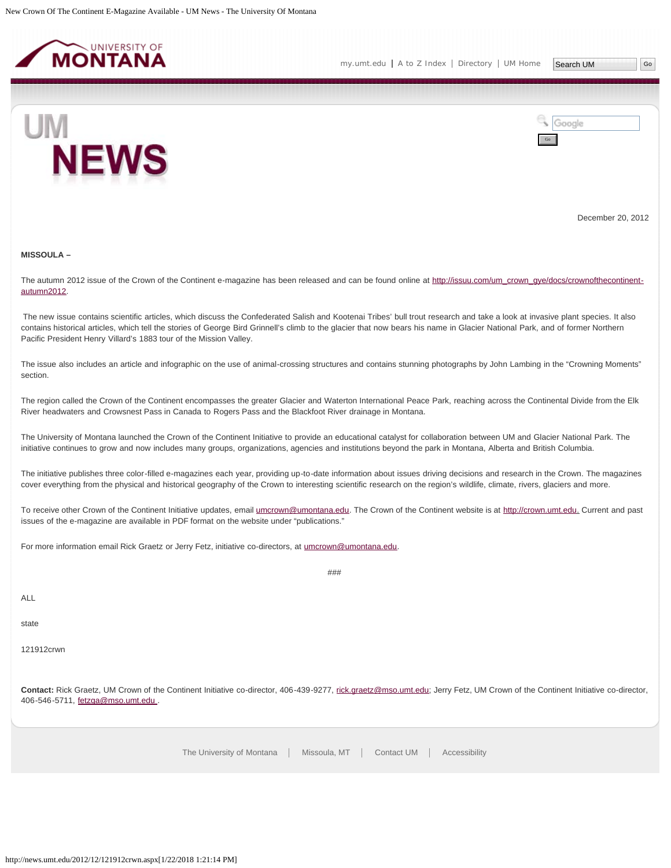<span id="page-6-0"></span>

Go

Google



December 20, 2012

#### **MISSOULA –**

The autumn 2012 issue of the Crown of the Continent e-magazine has been released and can be found online at [http://issuu.com/um\\_crown\\_gye/docs/crownofthecontinent](http://issuu.com/um_crown_gye/docs/crownofthecontinent-autumn2012)[autumn2012](http://issuu.com/um_crown_gye/docs/crownofthecontinent-autumn2012).

The new issue contains scientific articles, which discuss the Confederated Salish and Kootenai Tribes' bull trout research and take a look at invasive plant species. It also contains historical articles, which tell the stories of George Bird Grinnell's climb to the glacier that now bears his name in Glacier National Park, and of former Northern Pacific President Henry Villard's 1883 tour of the Mission Valley.

The issue also includes an article and infographic on the use of animal-crossing structures and contains stunning photographs by John Lambing in the "Crowning Moments" section.

The region called the Crown of the Continent encompasses the greater Glacier and Waterton International Peace Park, reaching across the Continental Divide from the Elk River headwaters and Crowsnest Pass in Canada to Rogers Pass and the Blackfoot River drainage in Montana.

The University of Montana launched the Crown of the Continent Initiative to provide an educational catalyst for collaboration between UM and Glacier National Park. The initiative continues to grow and now includes many groups, organizations, agencies and institutions beyond the park in Montana, Alberta and British Columbia.

The initiative publishes three color-filled e-magazines each year, providing up-to-date information about issues driving decisions and research in the Crown. The magazines cover everything from the physical and historical geography of the Crown to interesting scientific research on the region's wildlife, climate, rivers, glaciers and more.

To receive other Crown of the Continent Initiative updates, email *umcrown@umontana.edu*. The Crown of the Continent website is at [http://crown.umt.edu](http://crown.umt.edu/). Current and past issues of the e-magazine are available in PDF format on the website under "publications."

###

For more information email Rick Graetz or Jerry Fetz, initiative co-directors, at *umcrown@umontana.edu*.

ALL

state

121912crwn

**Contact:** Rick Graetz, UM Crown of the Continent Initiative co-director, 406-439-9277, [rick.graetz@mso.umt.edu](mailto:rick.graetz@mso.umt.edu); Jerry Fetz, UM Crown of the Continent Initiative co-director, 406-546-5711, [fetzga@mso.umt.edu .](mailto:fetzga@mso.umt.edu)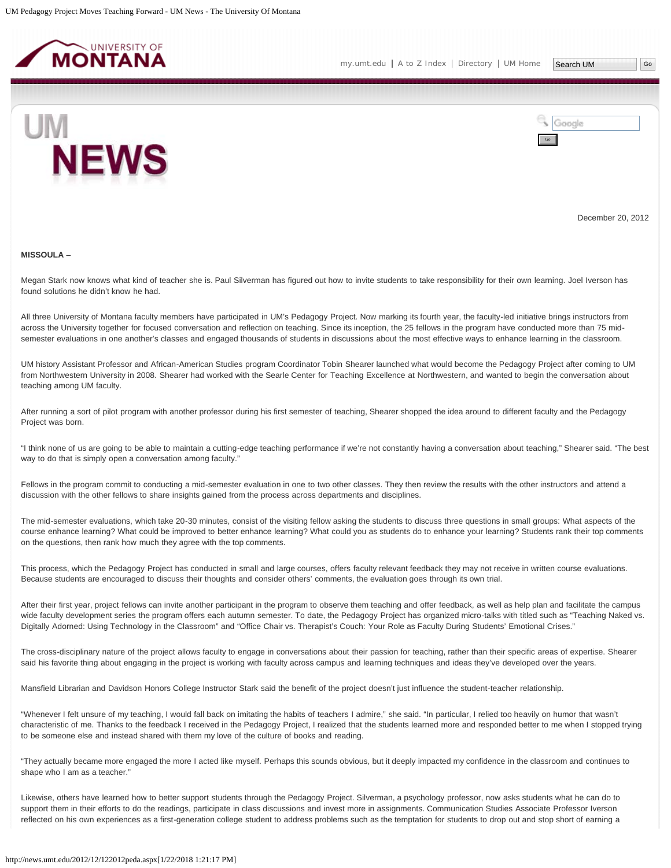<span id="page-7-0"></span>



December 20, 2012

#### **MISSOULA** –

Megan Stark now knows what kind of teacher she is. Paul Silverman has figured out how to invite students to take responsibility for their own learning. Joel Iverson has found solutions he didn't know he had.

All three University of Montana faculty members have participated in UM's Pedagogy Project. Now marking its fourth year, the faculty-led initiative brings instructors from across the University together for focused conversation and reflection on teaching. Since its inception, the 25 fellows in the program have conducted more than 75 midsemester evaluations in one another's classes and engaged thousands of students in discussions about the most effective ways to enhance learning in the classroom.

UM history Assistant Professor and African-American Studies program Coordinator Tobin Shearer launched what would become the Pedagogy Project after coming to UM from Northwestern University in 2008. Shearer had worked with the Searle Center for Teaching Excellence at Northwestern, and wanted to begin the conversation about teaching among UM faculty.

After running a sort of pilot program with another professor during his first semester of teaching, Shearer shopped the idea around to different faculty and the Pedagogy Project was born.

"I think none of us are going to be able to maintain a cutting-edge teaching performance if we're not constantly having a conversation about teaching," Shearer said. "The best way to do that is simply open a conversation among faculty."

Fellows in the program commit to conducting a mid-semester evaluation in one to two other classes. They then review the results with the other instructors and attend a discussion with the other fellows to share insights gained from the process across departments and disciplines.

The mid-semester evaluations, which take 20-30 minutes, consist of the visiting fellow asking the students to discuss three questions in small groups: What aspects of the course enhance learning? What could be improved to better enhance learning? What could you as students do to enhance your learning? Students rank their top comments on the questions, then rank how much they agree with the top comments.

This process, which the Pedagogy Project has conducted in small and large courses, offers faculty relevant feedback they may not receive in written course evaluations. Because students are encouraged to discuss their thoughts and consider others' comments, the evaluation goes through its own trial.

After their first year, project fellows can invite another participant in the program to observe them teaching and offer feedback, as well as help plan and facilitate the campus wide faculty development series the program offers each autumn semester. To date, the Pedagogy Project has organized micro-talks with titled such as "Teaching Naked vs. Digitally Adorned: Using Technology in the Classroom" and "Office Chair vs. Therapist's Couch: Your Role as Faculty During Students' Emotional Crises."

The cross-disciplinary nature of the project allows faculty to engage in conversations about their passion for teaching, rather than their specific areas of expertise. Shearer said his favorite thing about engaging in the project is working with faculty across campus and learning techniques and ideas they've developed over the years.

Mansfield Librarian and Davidson Honors College Instructor Stark said the benefit of the project doesn't just influence the student-teacher relationship.

"Whenever I felt unsure of my teaching, I would fall back on imitating the habits of teachers I admire," she said. "In particular, I relied too heavily on humor that wasn't characteristic of me. Thanks to the feedback I received in the Pedagogy Project, I realized that the students learned more and responded better to me when I stopped trying to be someone else and instead shared with them my love of the culture of books and reading.

"They actually became more engaged the more I acted like myself. Perhaps this sounds obvious, but it deeply impacted my confidence in the classroom and continues to shape who I am as a teacher."

Likewise, others have learned how to better support students through the Pedagogy Project. Silverman, a psychology professor, now asks students what he can do to support them in their efforts to do the readings, participate in class discussions and invest more in assignments. Communication Studies Associate Professor Iverson reflected on his own experiences as a first-generation college student to address problems such as the temptation for students to drop out and stop short of earning a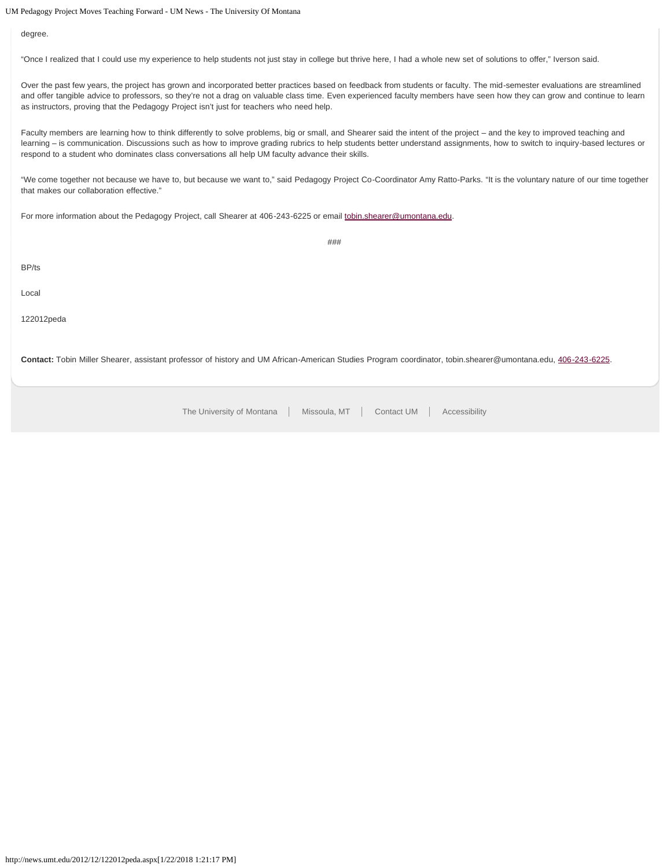# UM Pedagogy Project Moves Teaching Forward - UM News - The University Of Montana

degree.

"Once I realized that I could use my experience to help students not just stay in college but thrive here, I had a whole new set of solutions to offer," Iverson said.

Over the past few years, the project has grown and incorporated better practices based on feedback from students or faculty. The mid-semester evaluations are streamlined and offer tangible advice to professors, so they're not a drag on valuable class time. Even experienced faculty members have seen how they can grow and continue to learn as instructors, proving that the Pedagogy Project isn't just for teachers who need help.

Faculty members are learning how to think differently to solve problems, big or small, and Shearer said the intent of the project – and the key to improved teaching and learning – is communication. Discussions such as how to improve grading rubrics to help students better understand assignments, how to switch to inquiry-based lectures or respond to a student who dominates class conversations all help UM faculty advance their skills.

"We come together not because we have to, but because we want to," said Pedagogy Project Co-Coordinator Amy Ratto-Parks. "It is the voluntary nature of our time together that makes our collaboration effective."

###

For more information about the Pedagogy Project, call Shearer at 406-243-6225 or email [tobin.shearer@umontana.edu.](mailto:tobin.shearer@umontana.edu)

BP/ts

Local

122012peda

**Contact:** Tobin Miller Shearer, assistant professor of history and UM African-American Studies Program coordinator, tobin.shearer@umontana.edu, [406-243-6225](mailto:406-243-6225).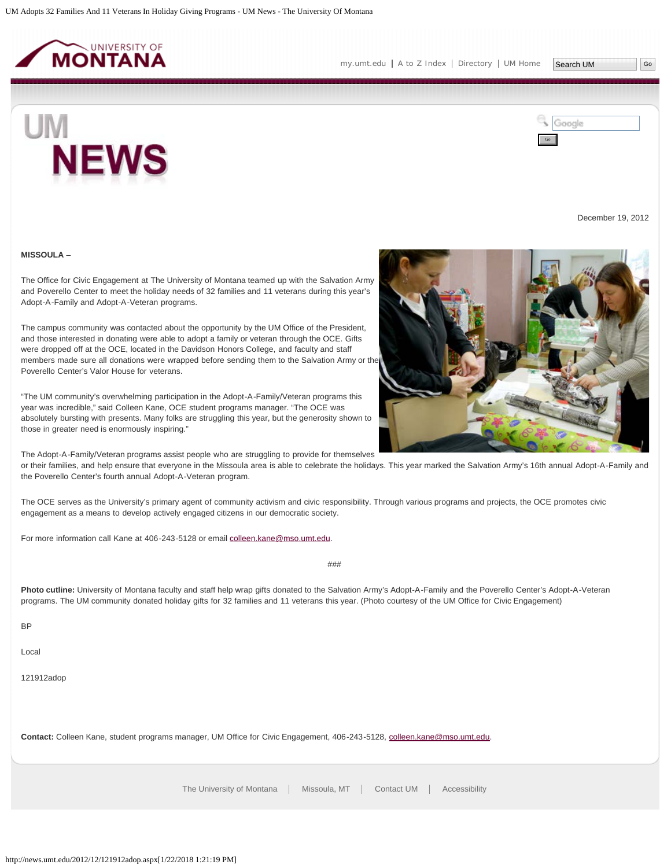<span id="page-9-0"></span>

Search UM





December 19, 2012

#### **MISSOULA** –

The Office for Civic Engagement at The University of Montana teamed up with the Salvation Army and Poverello Center to meet the holiday needs of 32 families and 11 veterans during this year's Adopt-A-Family and Adopt-A-Veteran programs.

The campus community was contacted about the opportunity by the UM Office of the President, and those interested in donating were able to adopt a family or veteran through the OCE. Gifts were dropped off at the OCE, located in the Davidson Honors College, and faculty and staff members made sure all donations were wrapped before sending them to the Salvation Army or the Poverello Center's Valor House for veterans.

"The UM community's overwhelming participation in the Adopt-A-Family/Veteran programs this year was incredible," said Colleen Kane, OCE student programs manager. "The OCE was absolutely bursting with presents. Many folks are struggling this year, but the generosity shown to those in greater need is enormously inspiring."

The Adopt-A-Family/Veteran programs assist people who are struggling to provide for themselves

or their families, and help ensure that everyone in the Missoula area is able to celebrate the holidays. This year marked the Salvation Army's 16th annual Adopt-A-Family and the Poverello Center's fourth annual Adopt-A-Veteran program.

The OCE serves as the University's primary agent of community activism and civic responsibility. Through various programs and projects, the OCE promotes civic engagement as a means to develop actively engaged citizens in our democratic society.

For more information call Kane at 406-243-5128 or email [colleen.kane@mso.umt.edu.](mailto:colleen.kane@mso.umt.edu)

###

Photo cutline: University of Montana faculty and staff help wrap gifts donated to the Salvation Army's Adopt-A-Family and the Poverello Center's Adopt-A-Veteran programs. The UM community donated holiday gifts for 32 families and 11 veterans this year. (Photo courtesy of the UM Office for Civic Engagement)

BP

Local

121912adop

**Contact:** Colleen Kane, student programs manager, UM Office for Civic Engagement, 406-243-5128, [colleen.kane@mso.umt.edu](mailto:colleen.kane@mso.umt.edu).

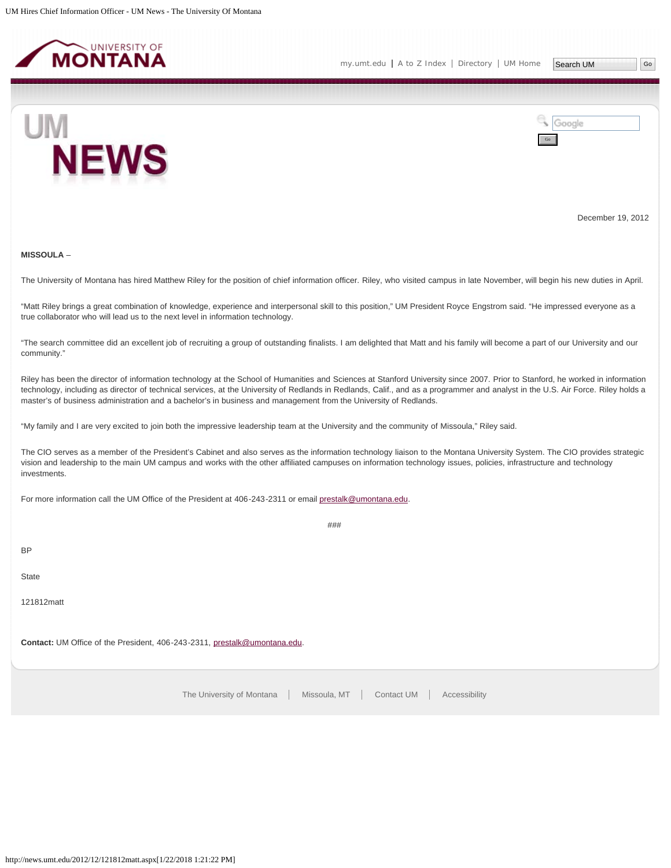<span id="page-10-0"></span>



December 19, 2012

# **MISSOULA** –

The University of Montana has hired Matthew Riley for the position of chief information officer. Riley, who visited campus in late November, will begin his new duties in April.

"Matt Riley brings a great combination of knowledge, experience and interpersonal skill to this position," UM President Royce Engstrom said. "He impressed everyone as a true collaborator who will lead us to the next level in information technology.

"The search committee did an excellent job of recruiting a group of outstanding finalists. I am delighted that Matt and his family will become a part of our University and our community."

Riley has been the director of information technology at the School of Humanities and Sciences at Stanford University since 2007. Prior to Stanford, he worked in information technology, including as director of technical services, at the University of Redlands in Redlands, Calif., and as a programmer and analyst in the U.S. Air Force. Riley holds a master's of business administration and a bachelor's in business and management from the University of Redlands.

"My family and I are very excited to join both the impressive leadership team at the University and the community of Missoula," Riley said.

The CIO serves as a member of the President's Cabinet and also serves as the information technology liaison to the Montana University System. The CIO provides strategic vision and leadership to the main UM campus and works with the other affiliated campuses on information technology issues, policies, infrastructure and technology investments.

###

For more information call the UM Office of the President at 406-243-2311 or email [prestalk@umontana.edu.](mailto:prestalk@umontana.edu)

BP

**State** 

121812matt

**Contact:** UM Office of the President, 406-243-2311, [prestalk@umontana.edu.](mailto:prestalk@umontana.edu)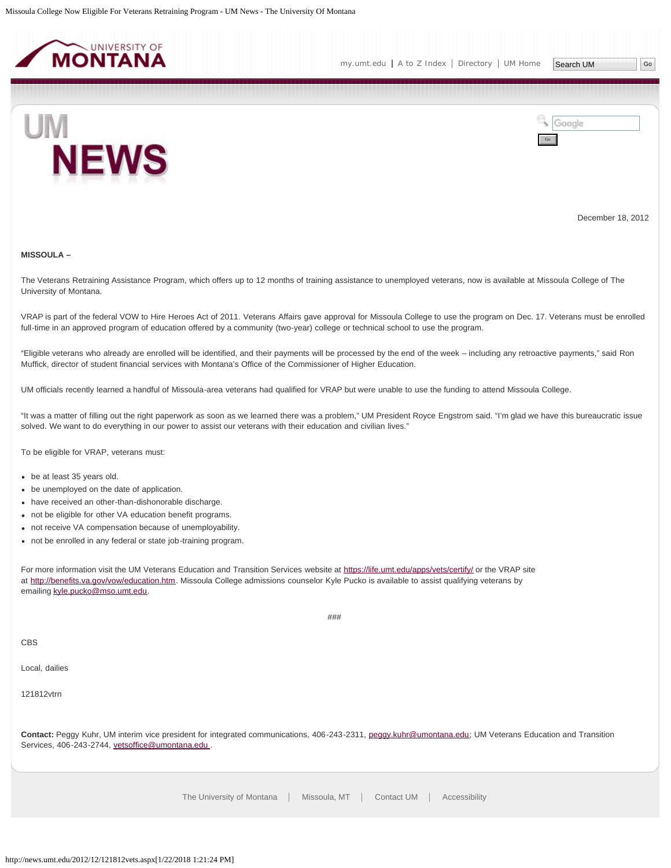<span id="page-11-0"></span>



December 18, 2012

#### **MISSOULA –**

The Veterans Retraining Assistance Program, which offers up to 12 months of training assistance to unemployed veterans, now is available at Missoula College of The University of Montana.

VRAP is part of the federal VOW to Hire Heroes Act of 2011. Veterans Affairs gave approval for Missoula College to use the program on Dec. 17. Veterans must be enrolled full-time in an approved program of education offered by a community (two-year) college or technical school to use the program.

"Eligible veterans who already are enrolled will be identified, and their payments will be processed by the end of the week – including any retroactive payments," said Ron Muffick, director of student financial services with Montana's Office of the Commissioner of Higher Education.

UM officials recently learned a handful of Missoula-area veterans had qualified for VRAP but were unable to use the funding to attend Missoula College.

"It was a matter of filling out the right paperwork as soon as we learned there was a problem," UM President Royce Engstrom said. "I'm glad we have this bureaucratic issue solved. We want to do everything in our power to assist our veterans with their education and civilian lives."

To be eligible for VRAP, veterans must:

- be at least 35 years old.
- be unemployed on the date of application.
- have received an other-than-dishonorable discharge.
- not be eligible for other VA education benefit programs.
- not receive VA compensation because of unemployability.
- not be enrolled in any federal or state job-training program.

For more information visit the UM Veterans Education and Transition Services website at <https://life.umt.edu/apps/vets/certify/> or the VRAP site at [http://benefits.va.gov/vow/education.htm.](http://benefits.va.gov/vow/education.htm) Missoula College admissions counselor Kyle Pucko is available to assist qualifying veterans by emailing [kyle.pucko@mso.umt.edu.](mailto:kyle.pucko@mso.umt.edu)

###

CBS

Local, dailies

121812vtrn

**Contact:** Peggy Kuhr, UM interim vice president for integrated communications, 406-243-2311, [peggy.kuhr@umontana.edu;](mailto:peggy.kuhr@umontana.edu) UM Veterans Education and Transition Services, 406-243-2744, vetsoffice@umontana.edu.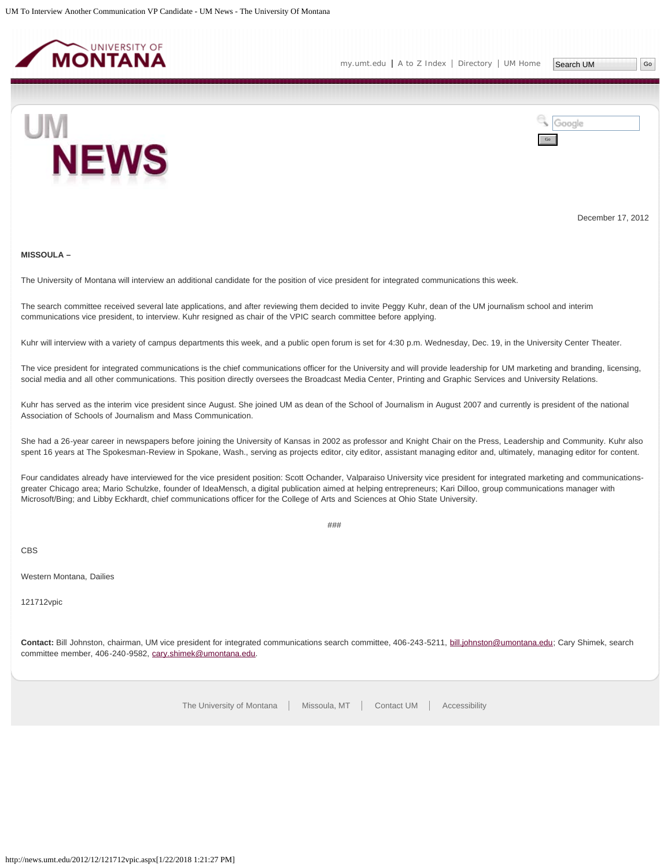<span id="page-12-0"></span>



December 17, 2012

#### **MISSOULA –**

The University of Montana will interview an additional candidate for the position of vice president for integrated communications this week.

The search committee received several late applications, and after reviewing them decided to invite Peggy Kuhr, dean of the UM journalism school and interim communications vice president, to interview. Kuhr resigned as chair of the VPIC search committee before applying.

Kuhr will interview with a variety of campus departments this week, and a public open forum is set for 4:30 p.m. Wednesday, Dec. 19, in the University Center Theater.

The vice president for integrated communications is the chief communications officer for the University and will provide leadership for UM marketing and branding, licensing, social media and all other communications. This position directly oversees the Broadcast Media Center, Printing and Graphic Services and University Relations.

Kuhr has served as the interim vice president since August. She joined UM as dean of the School of Journalism in August 2007 and currently is president of the national Association of Schools of Journalism and Mass Communication.

She had a 26-year career in newspapers before joining the University of Kansas in 2002 as professor and Knight Chair on the Press, Leadership and Community. Kuhr also spent 16 years at The Spokesman-Review in Spokane, Wash., serving as projects editor, city editor, assistant managing editor and, ultimately, managing editor for content.

Four candidates already have interviewed for the vice president position: Scott Ochander, Valparaiso University vice president for integrated marketing and communicationsgreater Chicago area; Mario Schulzke, founder of IdeaMensch, a digital publication aimed at helping entrepreneurs; Kari Dilloo, group communications manager with Microsoft/Bing; and Libby Eckhardt, chief communications officer for the College of Arts and Sciences at Ohio State University.

###

CBS

Western Montana, Dailies

121712vpic

**Contact:** Bill Johnston, chairman, UM vice president for integrated communications search committee, 406-243-5211, [bill.johnston@umontana.edu;](mailto:bill.johnston@umontana.edu) Cary Shimek, search committee member, 406-240-9582, [cary.shimek@umontana.edu](mailto:cary.shimek@umontana.edu).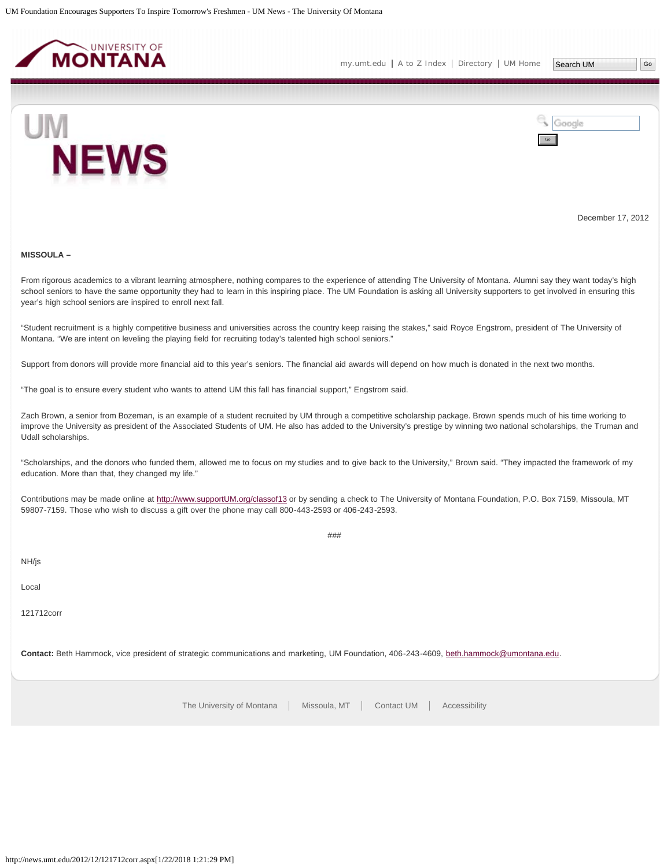<span id="page-13-0"></span>



December 17, 2012

#### **MISSOULA –**

From rigorous academics to a vibrant learning atmosphere, nothing compares to the experience of attending The University of Montana. Alumni say they want today's high school seniors to have the same opportunity they had to learn in this inspiring place. The UM Foundation is asking all University supporters to get involved in ensuring this year's high school seniors are inspired to enroll next fall.

"Student recruitment is a highly competitive business and universities across the country keep raising the stakes," said Royce Engstrom, president of The University of Montana. "We are intent on leveling the playing field for recruiting today's talented high school seniors."

Support from donors will provide more financial aid to this year's seniors. The financial aid awards will depend on how much is donated in the next two months.

"The goal is to ensure every student who wants to attend UM this fall has financial support," Engstrom said.

Zach Brown, a senior from Bozeman, is an example of a student recruited by UM through a competitive scholarship package. Brown spends much of his time working to improve the University as president of the Associated Students of UM. He also has added to the University's prestige by winning two national scholarships, the Truman and Udall scholarships.

"Scholarships, and the donors who funded them, allowed me to focus on my studies and to give back to the University," Brown said. "They impacted the framework of my education. More than that, they changed my life."

Contributions may be made online at [http://www.supportUM.org/classof13](http://www.supportum.org/classof13) or by sending a check to The University of Montana Foundation, P.O. Box 7159, Missoula, MT 59807-7159. Those who wish to discuss a gift over the phone may call 800-443-2593 or 406-243-2593.

###

NH/js

Local

121712corr

**Contact:** Beth Hammock, vice president of strategic communications and marketing, UM Foundation, 406-243-4609, [beth.hammock@umontana.edu.](mailto:beth.hammock@umontana.edu)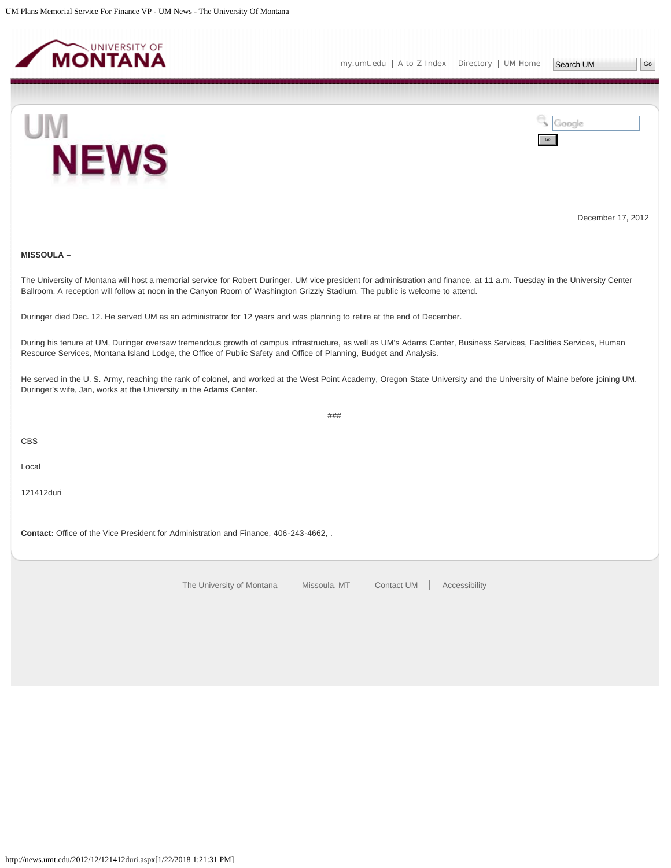<span id="page-14-0"></span>



December 17, 2012

# **MISSOULA –**

The University of Montana will host a memorial service for Robert Duringer, UM vice president for administration and finance, at 11 a.m. Tuesday in the University Center Ballroom. A reception will follow at noon in the Canyon Room of Washington Grizzly Stadium. The public is welcome to attend.

Duringer died Dec. 12. He served UM as an administrator for 12 years and was planning to retire at the end of December.

During his tenure at UM, Duringer oversaw tremendous growth of campus infrastructure, as well as UM's Adams Center, Business Services, Facilities Services, Human Resource Services, Montana Island Lodge, the Office of Public Safety and Office of Planning, Budget and Analysis.

He served in the U. S. Army, reaching the rank of colonel, and worked at the West Point Academy, Oregon State University and the University of Maine before joining UM. Duringer's wife, Jan, works at the University in the Adams Center.

###

CBS

Local

121412duri

**Contact:** Office of the Vice President for Administration and Finance, 406-243-4662, .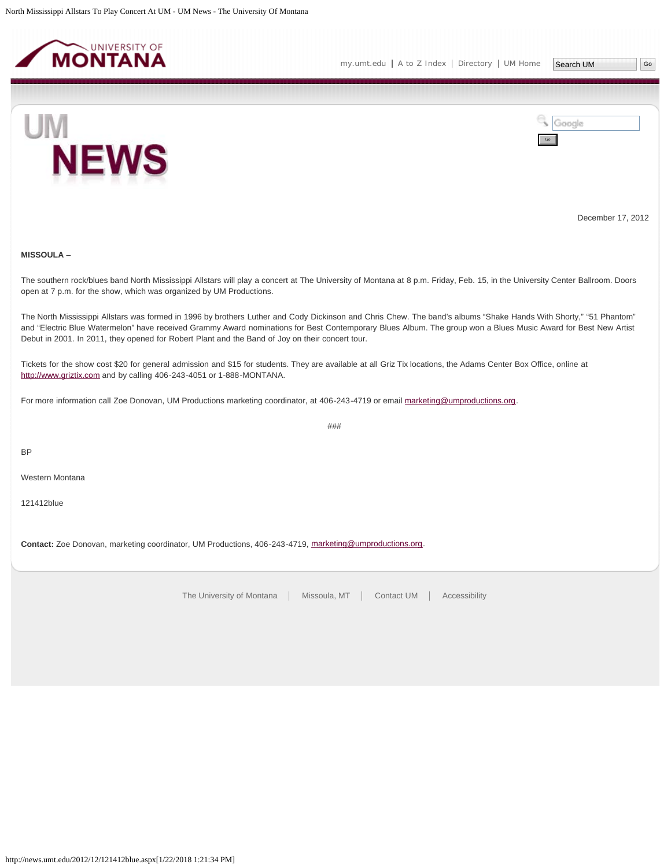<span id="page-15-0"></span>



December 17, 2012

# **MISSOULA** –

The southern rock/blues band North Mississippi Allstars will play a concert at The University of Montana at 8 p.m. Friday, Feb. 15, in the University Center Ballroom. Doors open at 7 p.m. for the show, which was organized by UM Productions.

The North Mississippi Allstars was formed in 1996 by brothers Luther and Cody Dickinson and Chris Chew. The band's albums "Shake Hands With Shorty," "51 Phantom" and "Electric Blue Watermelon" have received Grammy Award nominations for Best Contemporary Blues Album. The group won a Blues Music Award for Best New Artist Debut in 2001. In 2011, they opened for Robert Plant and the Band of Joy on their concert tour.

###

Tickets for the show cost \$20 for general admission and \$15 for students. They are available at all Griz Tix locations, the Adams Center Box Office, online at [http://www.griztix.com](http://www.griztix.com/) and by calling 406-243-4051 or 1-888-MONTANA.

For more information call Zoe Donovan, UM Productions marketing coordinator, at 406-243-4719 or email [marketing@umproductions.org](mailto:marketing@umproductions.org).

BP

Western Montana

121412blue

**Contact:** Zoe Donovan, marketing coordinator, UM Productions, 406-243-4719, [marketing@umproductions.org](mailto:marketing@umproductions.org).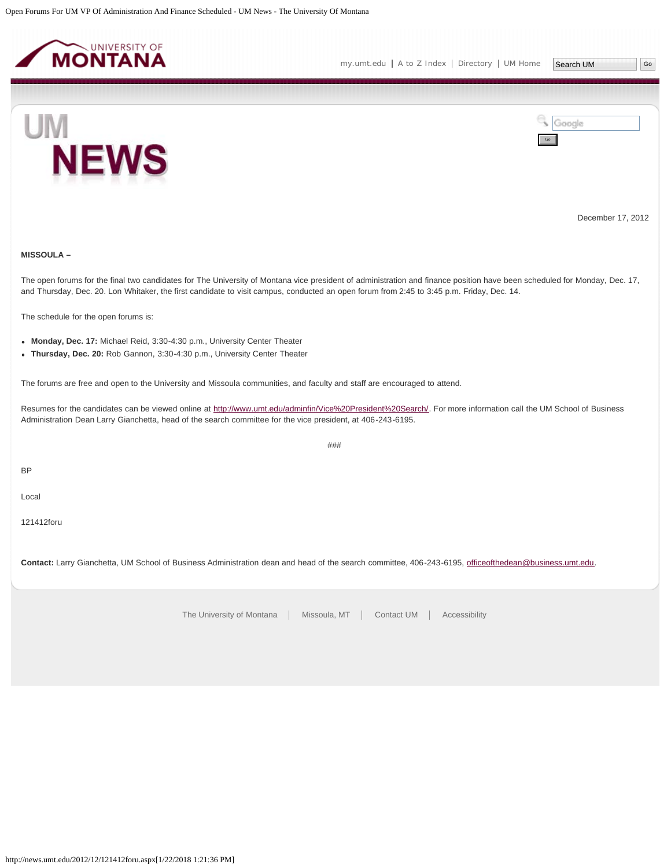<span id="page-16-0"></span>





December 17, 2012

# **MISSOULA –**

The open forums for the final two candidates for The University of Montana vice president of administration and finance position have been scheduled for Monday, Dec. 17, and Thursday, Dec. 20. Lon Whitaker, the first candidate to visit campus, conducted an open forum from 2:45 to 3:45 p.m. Friday, Dec. 14.

The schedule for the open forums is:

- **Monday, Dec. 17:** Michael Reid, 3:30-4:30 p.m., University Center Theater
- **Thursday, Dec. 20:** Rob Gannon, 3:30-4:30 p.m., University Center Theater

The forums are free and open to the University and Missoula communities, and faculty and staff are encouraged to attend.

Resumes for the candidates can be viewed online at [http://www.umt.edu/adminfin/Vice%20President%20Search/.](http://www.umt.edu/adminfin/Vice President Search/) For more information call the UM School of Business Administration Dean Larry Gianchetta, head of the search committee for the vice president, at 406-243-6195.

###

BP

Local

121412foru

**Contact:** Larry Gianchetta, UM School of Business Administration dean and head of the search committee, 406-243-6195, [officeofthedean@business.umt.edu.](mailto:officeofthedean@business.umt.edu)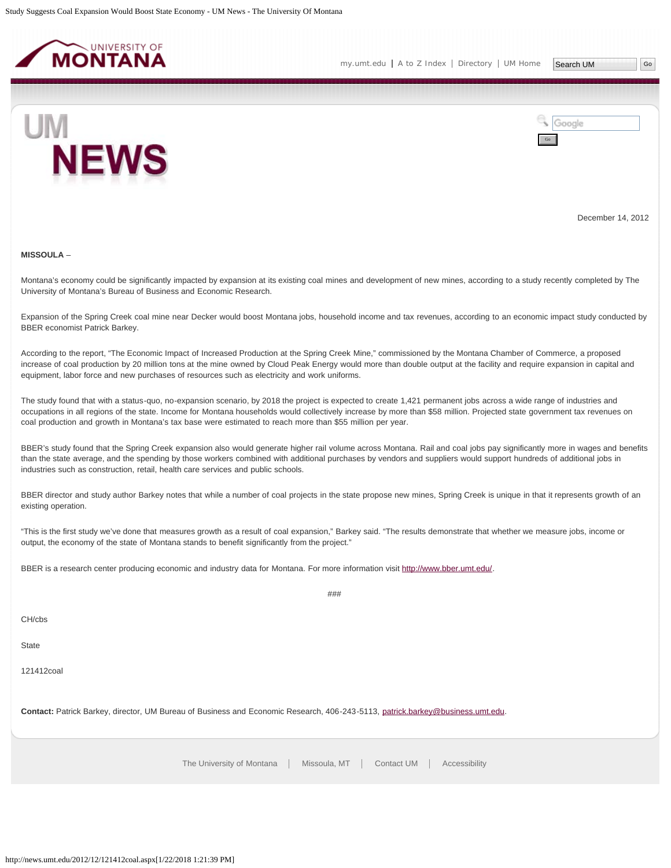<span id="page-17-0"></span>

Go

Google



December 14, 2012

#### **MISSOULA** –

Montana's economy could be significantly impacted by expansion at its existing coal mines and development of new mines, according to a study recently completed by The University of Montana's Bureau of Business and Economic Research.

Expansion of the Spring Creek coal mine near Decker would boost Montana jobs, household income and tax revenues, according to an economic impact study conducted by BBER economist Patrick Barkey.

According to the report, "The Economic Impact of Increased Production at the Spring Creek Mine," commissioned by the Montana Chamber of Commerce, a proposed increase of coal production by 20 million tons at the mine owned by Cloud Peak Energy would more than double output at the facility and require expansion in capital and equipment, labor force and new purchases of resources such as electricity and work uniforms.

The study found that with a status-quo, no-expansion scenario, by 2018 the project is expected to create 1,421 permanent jobs across a wide range of industries and occupations in all regions of the state. Income for Montana households would collectively increase by more than \$58 million. Projected state government tax revenues on coal production and growth in Montana's tax base were estimated to reach more than \$55 million per year.

BBER's study found that the Spring Creek expansion also would generate higher rail volume across Montana. Rail and coal jobs pay significantly more in wages and benefits than the state average, and the spending by those workers combined with additional purchases by vendors and suppliers would support hundreds of additional jobs in industries such as construction, retail, health care services and public schools.

BBER director and study author Barkey notes that while a number of coal projects in the state propose new mines, Spring Creek is unique in that it represents growth of an existing operation.

###

"This is the first study we've done that measures growth as a result of coal expansion," Barkey said. "The results demonstrate that whether we measure jobs, income or output, the economy of the state of Montana stands to benefit significantly from the project."

BBER is a research center producing economic and industry data for Montana. For more information visit [http://www.bber.umt.edu/.](http://www.bber.umt.edu/)

CH/cbs

**State** 

121412coal

**Contact:** Patrick Barkey, director, UM Bureau of Business and Economic Research, 406-243-5113, [patrick.barkey@business.umt.edu.](mailto:patrick.barkey@business.umt.edu)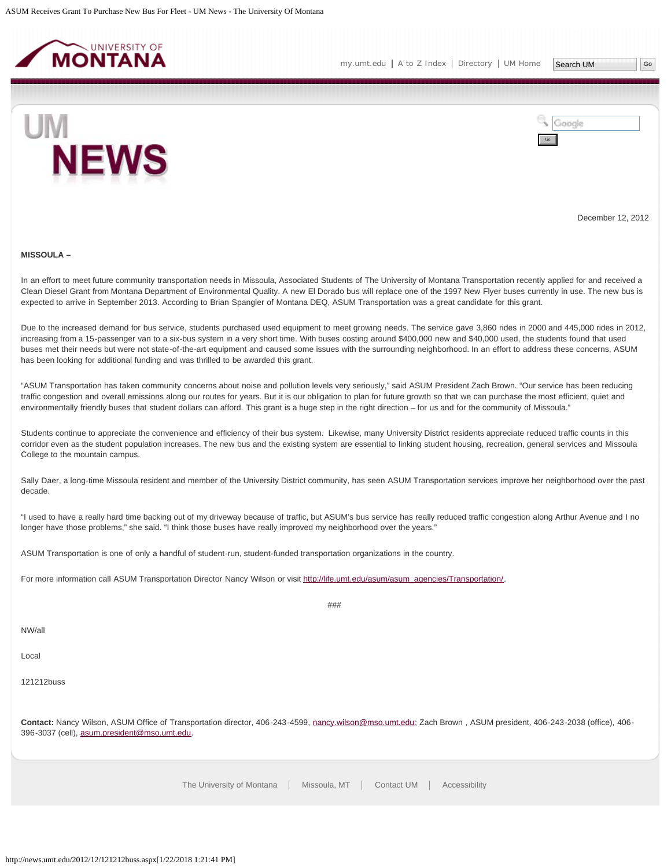<span id="page-18-0"></span>





December 12, 2012

#### **MISSOULA –**

In an effort to meet future community transportation needs in Missoula, Associated Students of The University of Montana Transportation recently applied for and received a Clean Diesel Grant from Montana Department of Environmental Quality. A new El Dorado bus will replace one of the 1997 New Flyer buses currently in use. The new bus is expected to arrive in September 2013. According to Brian Spangler of Montana DEQ, ASUM Transportation was a great candidate for this grant.

Due to the increased demand for bus service, students purchased used equipment to meet growing needs. The service gave 3,860 rides in 2000 and 445,000 rides in 2012, increasing from a 15-passenger van to a six-bus system in a very short time. With buses costing around \$400,000 new and \$40,000 used, the students found that used buses met their needs but were not state-of-the-art equipment and caused some issues with the surrounding neighborhood. In an effort to address these concerns, ASUM has been looking for additional funding and was thrilled to be awarded this grant.

"ASUM Transportation has taken community concerns about noise and pollution levels very seriously," said ASUM President Zach Brown. "Our service has been reducing traffic congestion and overall emissions along our routes for years. But it is our obligation to plan for future growth so that we can purchase the most efficient, quiet and environmentally friendly buses that student dollars can afford. This grant is a huge step in the right direction – for us and for the community of Missoula."

Students continue to appreciate the convenience and efficiency of their bus system. Likewise, many University District residents appreciate reduced traffic counts in this corridor even as the student population increases. The new bus and the existing system are essential to linking student housing, recreation, general services and Missoula College to the mountain campus.

Sally Daer, a long-time Missoula resident and member of the University District community, has seen ASUM Transportation services improve her neighborhood over the past decade.

"I used to have a really hard time backing out of my driveway because of traffic, but ASUM's bus service has really reduced traffic congestion along Arthur Avenue and I no longer have those problems," she said. "I think those buses have really improved my neighborhood over the years."

###

ASUM Transportation is one of only a handful of student-run, student-funded transportation organizations in the country.

For more information call ASUM Transportation Director Nancy Wilson or visit [http://life.umt.edu/asum/asum\\_agencies/Transportation/.](http://life.umt.edu/asum/asum_agencies/Transportation/)

NW/all

Local

121212buss

**Contact:** Nancy Wilson, ASUM Office of Transportation director, 406-243-4599, [nancy.wilson@mso.umt.edu;](mailto:nancy.wilson@mso.umt.edu) Zach Brown , ASUM president, 406-243-2038 (office), 406- 396-3037 (cell), [asum.president@mso.umt.edu](mailto:asum.president@mso.umt.edu).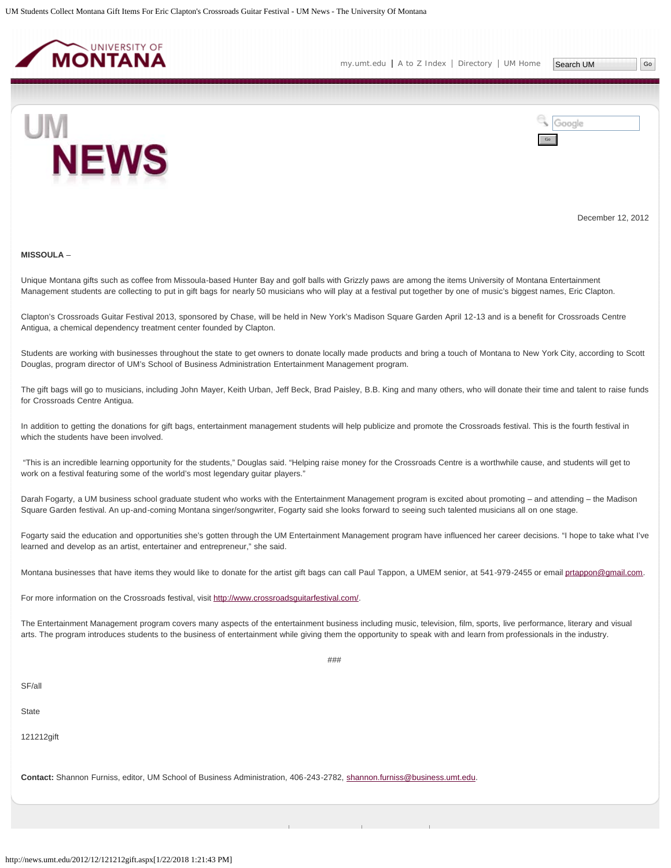<span id="page-19-0"></span>

[my.umt.edu](http://my.umt.edu/) | [A to Z Index](http://www.umt.edu/search/atoz/) | [Directory](http://www.umt.edu/directory/) | [UM Home](http://www.umt.edu/)



Go

Google



December 12, 2012

#### **MISSOULA** –

Unique Montana gifts such as coffee from Missoula-based Hunter Bay and golf balls with Grizzly paws are among the items University of Montana Entertainment Management students are collecting to put in gift bags for nearly 50 musicians who will play at a festival put together by one of music's biggest names, Eric Clapton.

Clapton's Crossroads Guitar Festival 2013, sponsored by Chase, will be held in New York's Madison Square Garden April 12-13 and is a benefit for Crossroads Centre Antigua, a chemical dependency treatment center founded by Clapton.

Students are working with businesses throughout the state to get owners to donate locally made products and bring a touch of Montana to New York City, according to Scott Douglas, program director of UM's School of Business Administration Entertainment Management program.

The gift bags will go to musicians, including John Mayer, Keith Urban, Jeff Beck, Brad Paisley, B.B. King and many others, who will donate their time and talent to raise funds for Crossroads Centre Antigua.

In addition to getting the donations for gift bags, entertainment management students will help publicize and promote the Crossroads festival. This is the fourth festival in which the students have been involved.

"This is an incredible learning opportunity for the students," Douglas said. "Helping raise money for the Crossroads Centre is a worthwhile cause, and students will get to work on a festival featuring some of the world's most legendary guitar players."

Darah Fogarty, a UM business school graduate student who works with the Entertainment Management program is excited about promoting - and attending - the Madison Square Garden festival. An up-and-coming Montana singer/songwriter, Fogarty said she looks forward to seeing such talented musicians all on one stage.

Fogarty said the education and opportunities she's gotten through the UM Entertainment Management program have influenced her career decisions. "I hope to take what I've learned and develop as an artist, entertainer and entrepreneur," she said.

Montana businesses that have items they would like to donate for the artist gift bags can call Paul Tappon, a UMEM senior, at 541-979-2455 or email [prtappon@gmail.com.](mailto:prtappon@gmail.com)

For more information on the Crossroads festival, visit [http://www.crossroadsguitarfestival.com/.](http://www.crossroadsguitarfestival.com/)

The Entertainment Management program covers many aspects of the entertainment business including music, television, film, sports, live performance, literary and visual arts. The program introduces students to the business of entertainment while giving them the opportunity to speak with and learn from professionals in the industry.

###

SF/all

**State** 

121212gift

**Contact:** Shannon Furniss, editor, UM School of Business Administration, 406-243-2782, [shannon.furniss@business.umt.edu](mailto:shannon.furniss@business.umt.edu).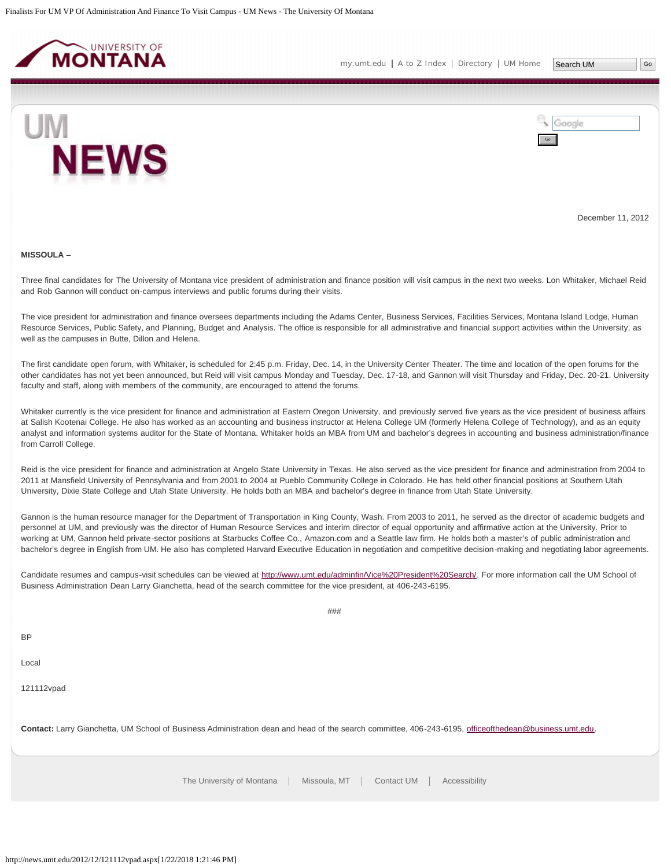<span id="page-21-0"></span>



December 11, 2012

#### **MISSOULA** –

Three final candidates for The University of Montana vice president of administration and finance position will visit campus in the next two weeks. Lon Whitaker, Michael Reid and Rob Gannon will conduct on-campus interviews and public forums during their visits.

The vice president for administration and finance oversees departments including the Adams Center, Business Services, Facilities Services, Montana Island Lodge, Human Resource Services, Public Safety, and Planning, Budget and Analysis. The office is responsible for all administrative and financial support activities within the University, as well as the campuses in Butte, Dillon and Helena.

The first candidate open forum, with Whitaker, is scheduled for 2:45 p.m. Friday, Dec. 14, in the University Center Theater. The time and location of the open forums for the other candidates has not yet been announced, but Reid will visit campus Monday and Tuesday, Dec. 17-18, and Gannon will visit Thursday and Friday, Dec. 20-21. University faculty and staff, along with members of the community, are encouraged to attend the forums.

Whitaker currently is the vice president for finance and administration at Eastern Oregon University, and previously served five years as the vice president of business affairs at Salish Kootenai College. He also has worked as an accounting and business instructor at Helena College UM (formerly Helena College of Technology), and as an equity analyst and information systems auditor for the State of Montana. Whitaker holds an MBA from UM and bachelor's degrees in accounting and business administration/finance from Carroll College.

Reid is the vice president for finance and administration at Angelo State University in Texas. He also served as the vice president for finance and administration from 2004 to 2011 at Mansfield University of Pennsylvania and from 2001 to 2004 at Pueblo Community College in Colorado. He has held other financial positions at Southern Utah University, Dixie State College and Utah State University. He holds both an MBA and bachelor's degree in finance from Utah State University.

Gannon is the human resource manager for the Department of Transportation in King County, Wash. From 2003 to 2011, he served as the director of academic budgets and personnel at UM, and previously was the director of Human Resource Services and interim director of equal opportunity and affirmative action at the University. Prior to working at UM, Gannon held private-sector positions at Starbucks Coffee Co., Amazon.com and a Seattle law firm. He holds both a master's of public administration and bachelor's degree in English from UM. He also has completed Harvard Executive Education in negotiation and competitive decision-making and negotiating labor agreements.

Candidate resumes and campus-visit schedules can be viewed at [http://www.umt.edu/adminfin/Vice%20President%20Search/.](http://www.umt.edu/adminfin/Vice President Search/) For more information call the UM School of Business Administration Dean Larry Gianchetta, head of the search committee for the vice president, at 406-243-6195.

###

**BP** 

Local

121112vpad

**Contact:** Larry Gianchetta, UM School of Business Administration dean and head of the search committee, 406-243-6195, [officeofthedean@business.umt.edu.](mailto:officeofthedean@business.umt.edu)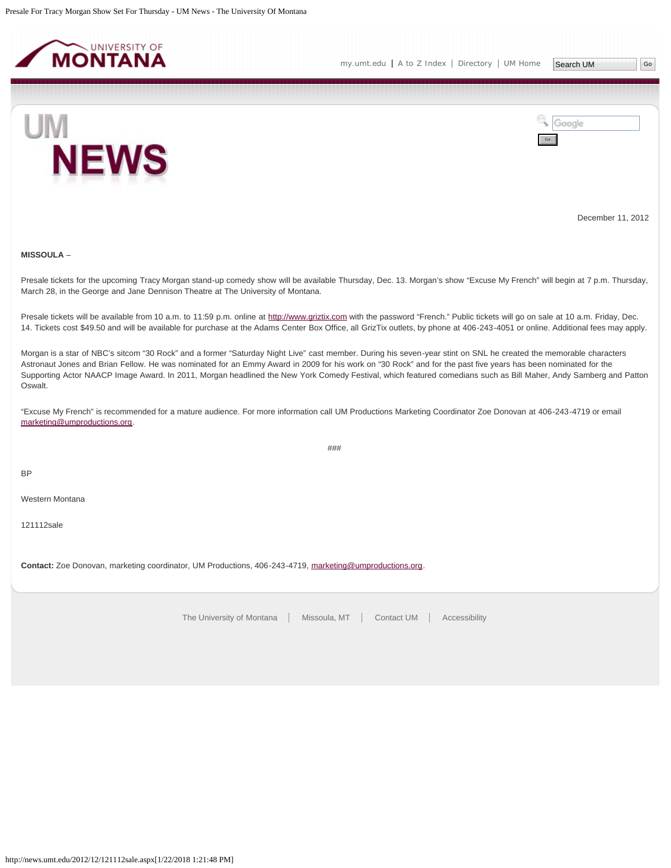<span id="page-22-0"></span>



December 11, 2012

# **MISSOULA** –

Presale tickets for the upcoming Tracy Morgan stand-up comedy show will be available Thursday, Dec. 13. Morgan's show "Excuse My French" will begin at 7 p.m. Thursday, March 28, in the George and Jane Dennison Theatre at The University of Montana.

Presale tickets will be available from 10 a.m. to 11:59 p.m. online at [http://www.griztix.com](http://www.griztix.com/) with the password "French." Public tickets will go on sale at 10 a.m. Friday, Dec. 14. Tickets cost \$49.50 and will be available for purchase at the Adams Center Box Office, all GrizTix outlets, by phone at 406-243-4051 or online. Additional fees may apply.

Morgan is a star of NBC's sitcom "30 Rock" and a former "Saturday Night Live" cast member. During his seven-year stint on SNL he created the memorable characters Astronaut Jones and Brian Fellow. He was nominated for an Emmy Award in 2009 for his work on "30 Rock" and for the past five years has been nominated for the Supporting Actor NAACP Image Award. In 2011, Morgan headlined the New York Comedy Festival, which featured comedians such as Bill Maher, Andy Samberg and Patton Oswalt.

###

"Excuse My French" is recommended for a mature audience. For more information call UM Productions Marketing Coordinator Zoe Donovan at 406-243-4719 or email [marketing@umproductions.org.](mailto:marketing@umproductions.org)

**BP** 

Western Montana

121112sale

**Contact:** Zoe Donovan, marketing coordinator, UM Productions, 406-243-4719, [marketing@umproductions.org](mailto:marketing@umproductions.org).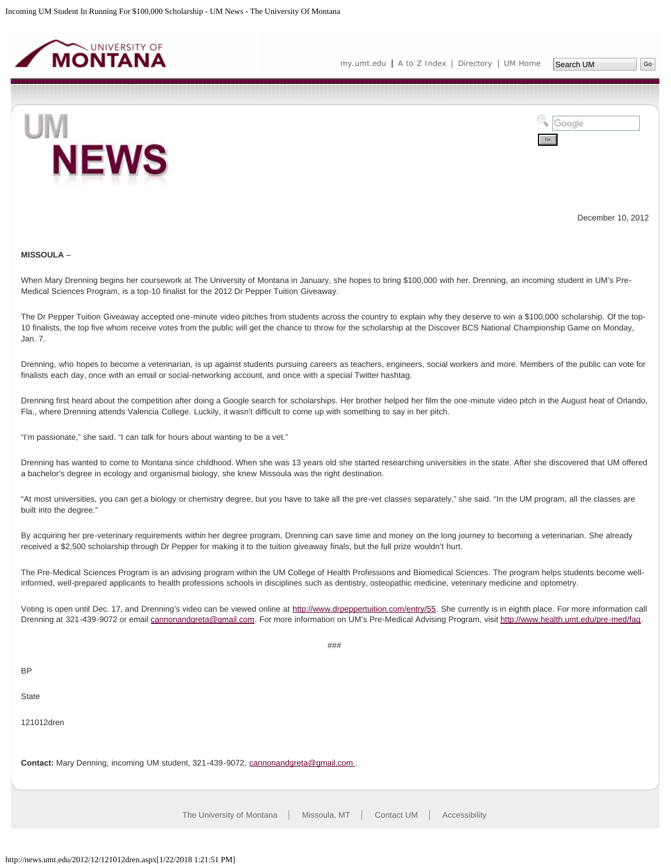<span id="page-23-0"></span>



December 10, 2012

#### **MISSOULA** –

When Mary Drenning begins her coursework at The University of Montana in January, she hopes to bring \$100,000 with her. Drenning, an incoming student in UM's Pre-Medical Sciences Program, is a top-10 finalist for the 2012 Dr Pepper Tuition Giveaway.

The Dr Pepper Tuition Giveaway accepted one-minute video pitches from students across the country to explain why they deserve to win a \$100,000 scholarship. Of the top-10 finalists, the top five whom receive votes from the public will get the chance to throw for the scholarship at the Discover BCS National Championship Game on Monday, Jan. 7.

Drenning, who hopes to become a veterinarian, is up against students pursuing careers as teachers, engineers, social workers and more. Members of the public can vote for finalists each day, once with an email or social-networking account, and once with a special Twitter hashtag.

Drenning first heard about the competition after doing a Google search for scholarships. Her brother helped her film the one-minute video pitch in the August heat of Orlando, Fla., where Drenning attends Valencia College. Luckily, it wasn't difficult to come up with something to say in her pitch.

"I'm passionate," she said. "I can talk for hours about wanting to be a vet."

Drenning has wanted to come to Montana since childhood. When she was 13 years old she started researching universities in the state. After she discovered that UM offered a bachelor's degree in ecology and organismal biology, she knew Missoula was the right destination.

"At most universities, you can get a biology or chemistry degree, but you have to take all the pre-vet classes separately," she said. "In the UM program, all the classes are built into the degree."

By acquiring her pre-veterinary requirements within her degree program, Drenning can save time and money on the long journey to becoming a veterinarian. She already received a \$2,500 scholarship through Dr Pepper for making it to the tuition giveaway finals, but the full prize wouldn't hurt.

The Pre-Medical Sciences Program is an advising program within the UM College of Health Professions and Biomedical Sciences. The program helps students become wellinformed, well-prepared applicants to health professions schools in disciplines such as dentistry, osteopathic medicine, veterinary medicine and optometry.

Voting is open until Dec. 17, and Drenning's video can be viewed online at<http://www.drpeppertuition.com/entry/55>. She currently is in eighth place. For more information call Drenning at 321-439-9072 or email [cannonandgreta@gmail.com.](mailto:cannonandgreta@gmail.com) For more information on UM's Pre-Medical Advising Program, visit http://www.health.umt.edu/pre-med/fag.

###

BP **State** 121012dren **Contact:** Mary Denning, incoming UM student, 321-439-9072, cannonandgreta@gmail.com.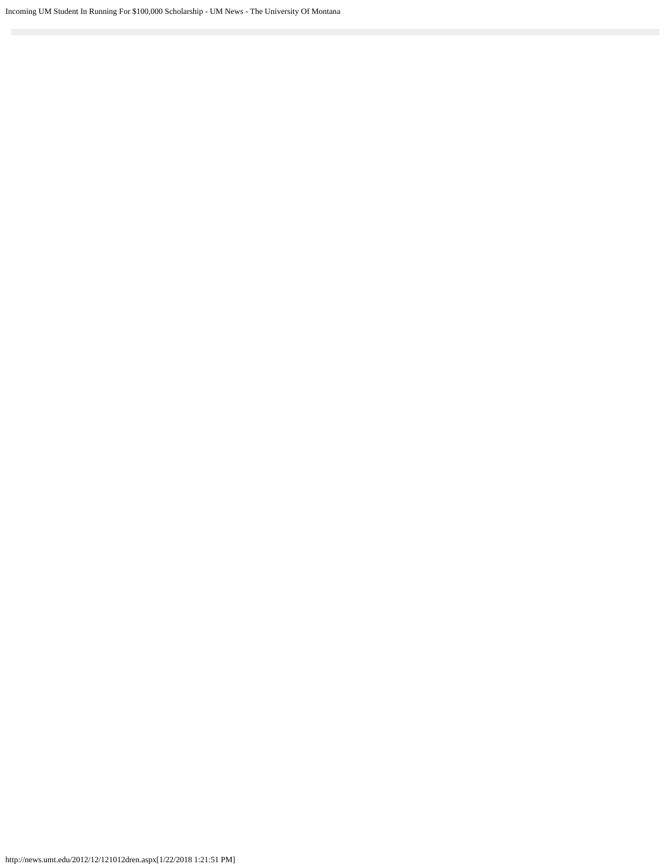Incoming UM Student In Running For \$100,000 Scholarship - UM News - The University Of Montana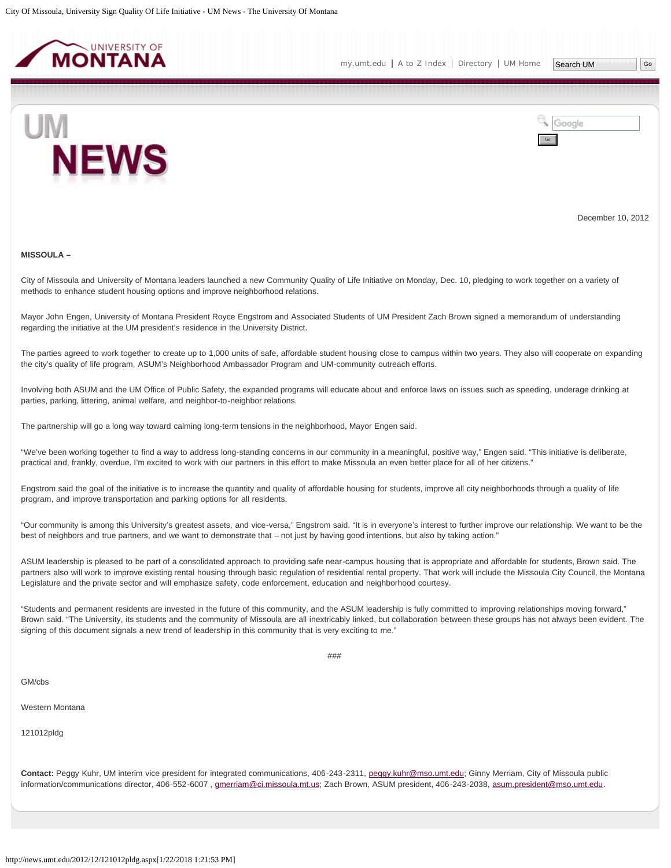<span id="page-25-0"></span>

Google



Go

December 10, 2012

#### **MISSOULA –**

City of Missoula and University of Montana leaders launched a new Community Quality of Life Initiative on Monday, Dec. 10, pledging to work together on a variety of methods to enhance student housing options and improve neighborhood relations.

Mayor John Engen, University of Montana President Royce Engstrom and Associated Students of UM President Zach Brown signed a memorandum of understanding regarding the initiative at the UM president's residence in the University District.

The parties agreed to work together to create up to 1,000 units of safe, affordable student housing close to campus within two years. They also will cooperate on expanding the city's quality of life program, ASUM's Neighborhood Ambassador Program and UM-community outreach efforts.

Involving both ASUM and the UM Office of Public Safety, the expanded programs will educate about and enforce laws on issues such as speeding, underage drinking at parties, parking, littering, animal welfare, and neighbor-to-neighbor relations.

The partnership will go a long way toward calming long-term tensions in the neighborhood, Mayor Engen said.

"We've been working together to find a way to address long-standing concerns in our community in a meaningful, positive way," Engen said. "This initiative is deliberate, practical and, frankly, overdue. I'm excited to work with our partners in this effort to make Missoula an even better place for all of her citizens."

Engstrom said the goal of the initiative is to increase the quantity and quality of affordable housing for students, improve all city neighborhoods through a quality of life program, and improve transportation and parking options for all residents.

"Our community is among this University's greatest assets, and vice-versa," Engstrom said. "It is in everyone's interest to further improve our relationship. We want to be the best of neighbors and true partners, and we want to demonstrate that – not just by having good intentions, but also by taking action."

ASUM leadership is pleased to be part of a consolidated approach to providing safe near-campus housing that is appropriate and affordable for students, Brown said. The partners also will work to improve existing rental housing through basic regulation of residential rental property. That work will include the Missoula City Council, the Montana Legislature and the private sector and will emphasize safety, code enforcement, education and neighborhood courtesy.

"Students and permanent residents are invested in the future of this community, and the ASUM leadership is fully committed to improving relationships moving forward," Brown said. "The University, its students and the community of Missoula are all inextricably linked, but collaboration between these groups has not always been evident. The signing of this document signals a new trend of leadership in this community that is very exciting to me."

###

GM/cbs

Western Montana

121012pldg

**Contact:** Peggy Kuhr, UM interim vice president for integrated communications, 406-243-2311, [peggy.kuhr@mso.umt.edu;](mailto:peggy.kuhr@mso.umt.edu) Ginny Merriam, City of Missoula public information/communications director, 406-552-6007, [gmerriam@ci.missoula.mt.us;](mailto:gmerriam@ci.missoula.mt.us) Zach Brown, ASUM president, 406-243-2038, [asum.president@mso.umt.edu](mailto:asum.president@mso.umt.edu).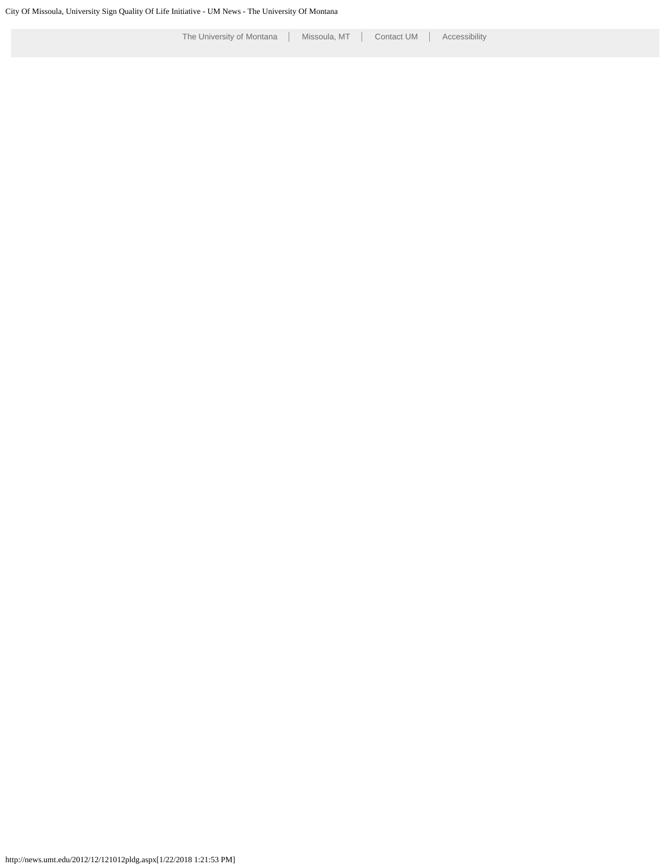| The University of Montana | Missoula, MT | Contact UM | Accessibility |
|---------------------------|--------------|------------|---------------|
|---------------------------|--------------|------------|---------------|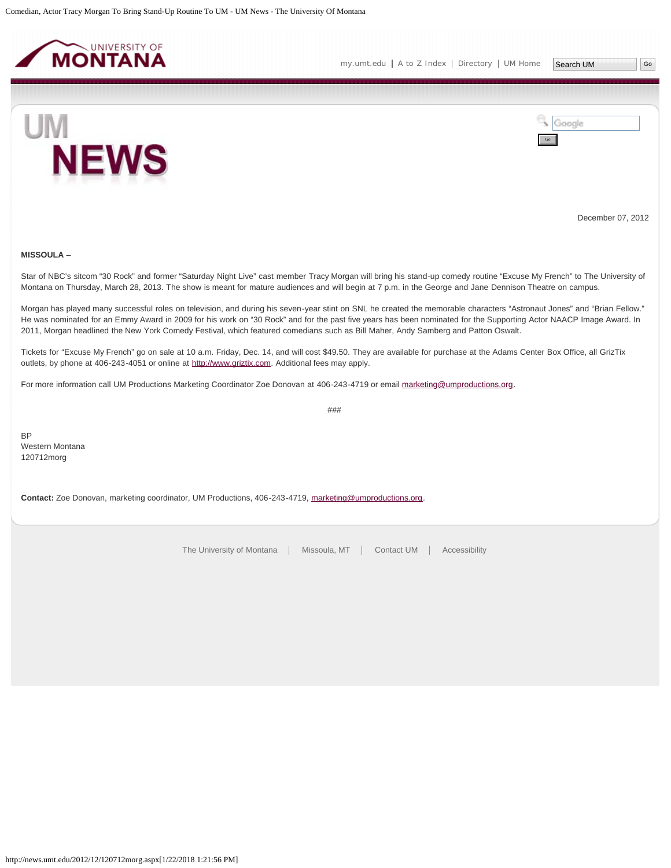<span id="page-27-0"></span>



December 07, 2012

# **MISSOULA** –

Star of NBC's sitcom "30 Rock" and former "Saturday Night Live" cast member Tracy Morgan will bring his stand-up comedy routine "Excuse My French" to The University of Montana on Thursday, March 28, 2013. The show is meant for mature audiences and will begin at 7 p.m. in the George and Jane Dennison Theatre on campus.

Morgan has played many successful roles on television, and during his seven-year stint on SNL he created the memorable characters "Astronaut Jones" and "Brian Fellow." He was nominated for an Emmy Award in 2009 for his work on "30 Rock" and for the past five years has been nominated for the Supporting Actor NAACP Image Award. In 2011, Morgan headlined the New York Comedy Festival, which featured comedians such as Bill Maher, Andy Samberg and Patton Oswalt.

Tickets for "Excuse My French" go on sale at 10 a.m. Friday, Dec. 14, and will cost \$49.50. They are available for purchase at the Adams Center Box Office, all GrizTix outlets, by phone at 406-243-4051 or online at [http://www.griztix.com](http://www.griztix.com/). Additional fees may apply.

For more information call UM Productions Marketing Coordinator Zoe Donovan at 406-243-4719 or email [marketing@umproductions.org.](mailto:marketing@umproductions.org)

###

BP Western Montana 120712morg

**Contact:** Zoe Donovan, marketing coordinator, UM Productions, 406-243-4719, [marketing@umproductions.org](mailto:marketing@umproductions.org).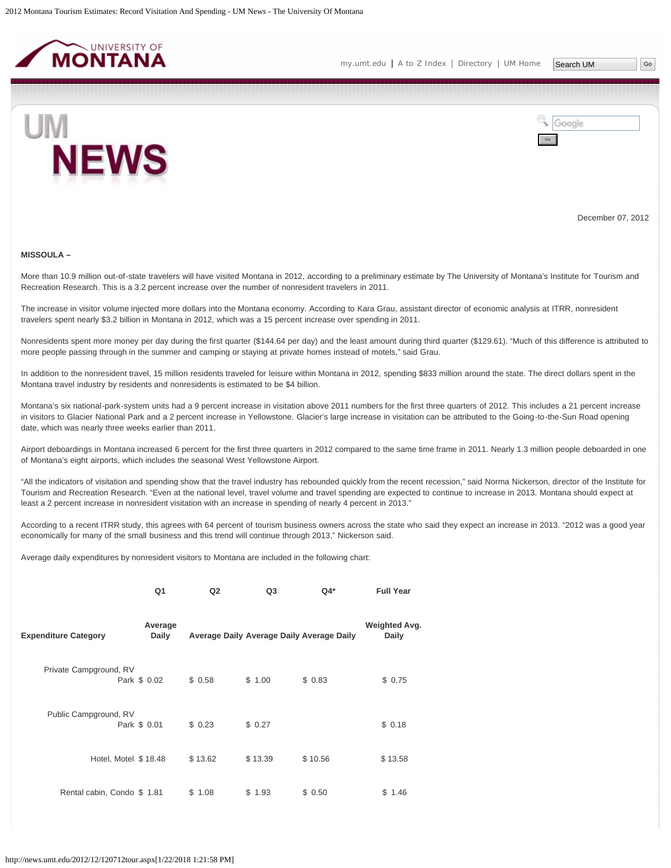<span id="page-28-0"></span>



December 07, 2012

#### **MISSOULA –**

More than 10.9 million out-of-state travelers will have visited Montana in 2012, according to a preliminary estimate by The University of Montana's Institute for Tourism and Recreation Research. This is a 3.2 percent increase over the number of nonresident travelers in 2011.

The increase in visitor volume injected more dollars into the Montana economy. According to Kara Grau, assistant director of economic analysis at ITRR, nonresident travelers spent nearly \$3.2 billion in Montana in 2012, which was a 15 percent increase over spending in 2011.

Nonresidents spent more money per day during the first quarter (\$144.64 per day) and the least amount during third quarter (\$129.61). "Much of this difference is attributed to more people passing through in the summer and camping or staying at private homes instead of motels," said Grau.

In addition to the nonresident travel, 15 million residents traveled for leisure within Montana in 2012, spending \$833 million around the state. The direct dollars spent in the Montana travel industry by residents and nonresidents is estimated to be \$4 billion.

Montana's six national-park-system units had a 9 percent increase in visitation above 2011 numbers for the first three quarters of 2012. This includes a 21 percent increase in visitors to Glacier National Park and a 2 percent increase in Yellowstone. Glacier's large increase in visitation can be attributed to the Going-to-the-Sun Road opening date, which was nearly three weeks earlier than 2011.

Airport deboardings in Montana increased 6 percent for the first three quarters in 2012 compared to the same time frame in 2011. Nearly 1.3 million people deboarded in one of Montana's eight airports, which includes the seasonal West Yellowstone Airport.

"All the indicators of visitation and spending show that the travel industry has rebounded quickly from the recent recession," said Norma Nickerson, director of the Institute for Tourism and Recreation Research. "Even at the national level, travel volume and travel spending are expected to continue to increase in 2013. Montana should expect at least a 2 percent increase in nonresident visitation with an increase in spending of nearly 4 percent in 2013."

According to a recent ITRR study, this agrees with 64 percent of tourism business owners across the state who said they expect an increase in 2013. "2012 was a good year economically for many of the small business and this trend will continue through 2013," Nickerson said.

Average daily expenditures by nonresident visitors to Montana are included in the following chart:

|                             | Q1               | Q2      | Q3      | Q4*                                       | <b>Full Year</b>       |
|-----------------------------|------------------|---------|---------|-------------------------------------------|------------------------|
| <b>Expenditure Category</b> | Average<br>Daily |         |         | Average Daily Average Daily Average Daily | Weighted Avg.<br>Daily |
| Private Campground, RV      | Park \$ 0.02     | \$0.58  | \$1.00  | \$0.83                                    | \$0.75                 |
| Public Campground, RV       | Park \$ 0.01     | \$0.23  | \$0.27  |                                           | \$0.18                 |
| Hotel, Motel \$18.48        |                  | \$13.62 | \$13.39 | \$10.56                                   | \$13.58                |
| Rental cabin, Condo \$ 1.81 |                  | \$1.08  | \$1.93  | \$0.50                                    | \$1.46                 |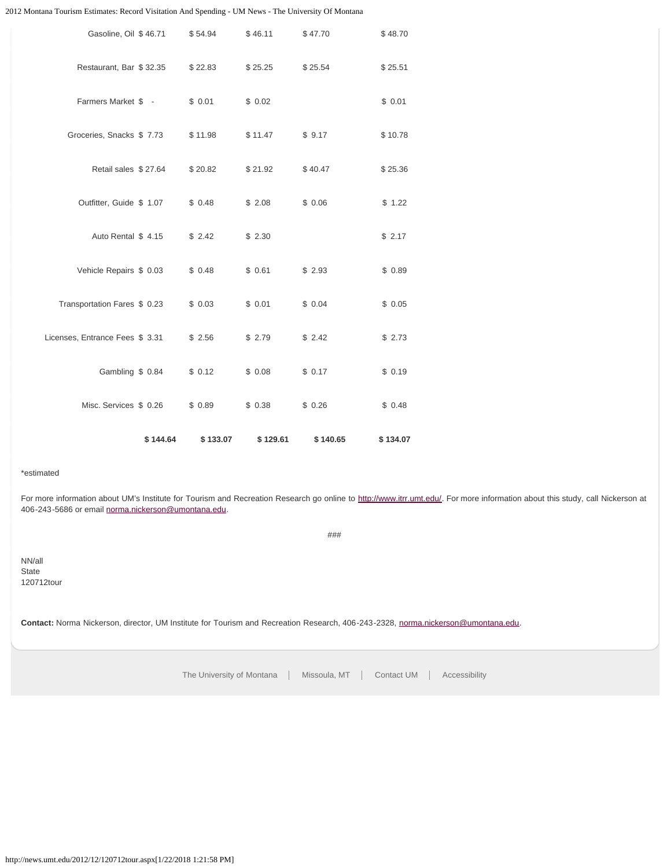|  | 2012 Montana Tourism Estimates: Record Visitation And Spending - UM News - The University Of Montana |  |  |  |  |  |
|--|------------------------------------------------------------------------------------------------------|--|--|--|--|--|
|  |                                                                                                      |  |  |  |  |  |

|                                 | \$144.64 | \$133.07 | \$129.61 | \$140.65 | \$134.07 |
|---------------------------------|----------|----------|----------|----------|----------|
| Misc. Services \$ 0.26          |          | \$0.89   | \$0.38   | \$0.26   | \$0.48   |
| Gambling \$ 0.84                |          | \$0.12   | \$0.08   | \$0.17   | \$0.19   |
| Licenses, Entrance Fees \$ 3.31 |          | \$2.56   | \$2.79   | \$2.42   | \$2.73   |
| Transportation Fares \$ 0.23    |          | \$0.03   | \$0.01   | \$0.04   | \$0.05   |
| Vehicle Repairs \$ 0.03         |          | \$0.48   | \$0.61   | \$2.93   | \$0.89   |
| Auto Rental \$4.15              |          | \$2.42   | \$2.30   |          | \$2.17   |
| Outfitter, Guide \$ 1.07        |          | \$0.48   | \$2.08   | \$0.06   | \$1.22   |
| Retail sales \$27.64            |          | \$20.82  | \$21.92  | \$40.47  | \$25.36  |
| Groceries, Snacks \$7.73        |          | \$11.98  | \$11.47  | \$9.17   | \$10.78  |
| Farmers Market \$ -             |          | \$0.01   | \$0.02   |          | \$0.01   |
| Restaurant, Bar \$32.35         |          | \$22.83  | \$25.25  | \$25.54  | \$25.51  |
| Gasoline, Oil \$46.71           |          | \$54.94  | \$46.11  | \$47.70  | \$48.70  |

\*estimated

For more information about UM's Institute for Tourism and Recreation Research go online to <http://www.itrr.umt.edu/>. For more information about this study, call Nickerson at 406-243-5686 or email [norma.nickerson@umontana.edu.](mailto:nnickers@forestry.umt.edu)

###

NN/all State 120712tour

Contact: Norma Nickerson, director, UM Institute for Tourism and Recreation Research, 406-243-2328, [norma.nickerson@umontana.edu](mailto:norma.nickerson@umontana.edu).

[The University of Montana](http://www.umt.edu/) | Missoula, MT | [Contact UM](http://www.umt.edu/comments) | [Accessibility](http://www.umt.edu/home/accessibility)

http://news.umt.edu/2012/12/120712tour.aspx[1/22/2018 1:21:58 PM]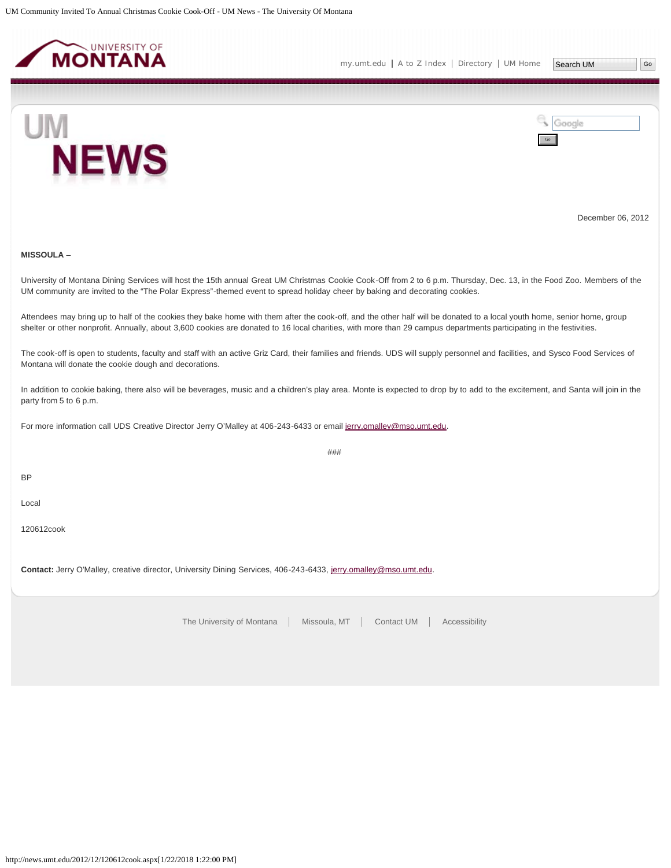<span id="page-30-0"></span>



December 06, 2012

# **MISSOULA** –

University of Montana Dining Services will host the 15th annual Great UM Christmas Cookie Cook-Off from 2 to 6 p.m. Thursday, Dec. 13, in the Food Zoo. Members of the UM community are invited to the "The Polar Express"-themed event to spread holiday cheer by baking and decorating cookies.

Attendees may bring up to half of the cookies they bake home with them after the cook-off, and the other half will be donated to a local youth home, senior home, group shelter or other nonprofit. Annually, about 3,600 cookies are donated to 16 local charities, with more than 29 campus departments participating in the festivities.

The cook-off is open to students, faculty and staff with an active Griz Card, their families and friends. UDS will supply personnel and facilities, and Sysco Food Services of Montana will donate the cookie dough and decorations.

In addition to cookie baking, there also will be beverages, music and a children's play area. Monte is expected to drop by to add to the excitement, and Santa will join in the party from 5 to 6 p.m.

For more information call UDS Creative Director Jerry O'Malley at 406-243-6433 or email [jerry.omalley@mso.umt.edu](mailto:jerry.omalley@mso.umt.edu).

###

BP

Local

120612cook

Contact: Jerry O'Malley, creative director, University Dining Services, 406-243-6433, [jerry.omalley@mso.umt.edu](mailto:jerry.omalley@mso.umt.edu).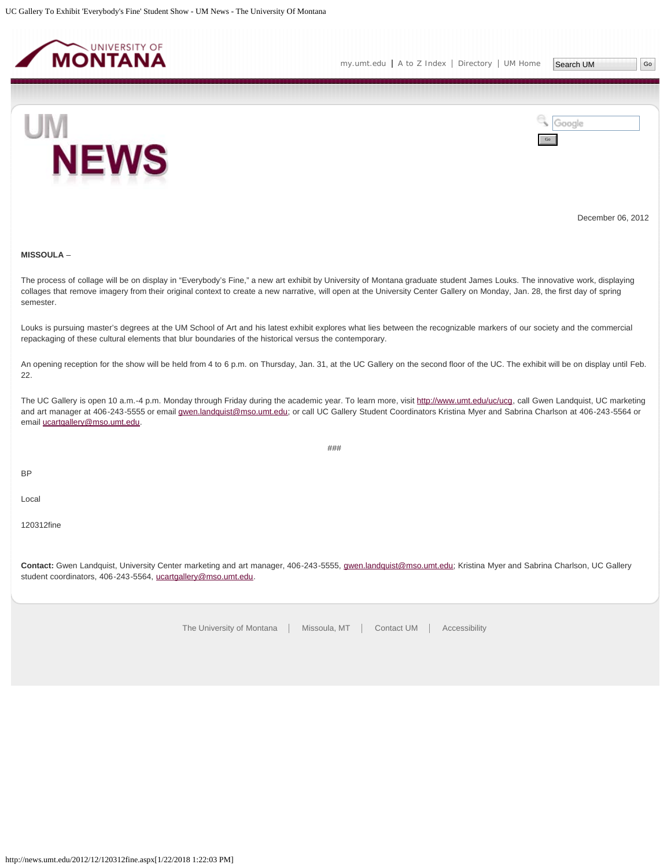<span id="page-31-0"></span>



December 06, 2012

# **MISSOULA** –

The process of collage will be on display in "Everybody's Fine," a new art exhibit by University of Montana graduate student James Louks. The innovative work, displaying collages that remove imagery from their original context to create a new narrative, will open at the University Center Gallery on Monday, Jan. 28, the first day of spring semester.

Louks is pursuing master's degrees at the UM School of Art and his latest exhibit explores what lies between the recognizable markers of our society and the commercial repackaging of these cultural elements that blur boundaries of the historical versus the contemporary.

An opening reception for the show will be held from 4 to 6 p.m. on Thursday, Jan. 31, at the UC Gallery on the second floor of the UC. The exhibit will be on display until Feb. 22.

The UC Gallery is open 10 a.m.-4 p.m. Monday through Friday during the academic year. To learn more, visit [http://www.umt.edu/uc/ucg,](http://www.umt.edu/uc/ucg) call Gwen Landquist, UC marketing and art manager at 406-243-5555 or email [gwen.landquist@mso.umt.edu;](mailto:gwen.landquist@mso.umt.edu) or call UC Gallery Student Coordinators Kristina Myer and Sabrina Charlson at 406-243-5564 or email [ucartgallery@mso.umt.edu.](mailto:ucartgallery@mso.umt.edu)

###

**BP** 

Local

120312fine

**Contact:** Gwen Landquist, University Center marketing and art manager, 406-243-5555, [gwen.landquist@mso.umt.edu;](mailto:gwen.landquist@mso.umt.edu) Kristina Myer and Sabrina Charlson, UC Gallery student coordinators, 406-243-5564, [ucartgallery@mso.umt.edu.](mailto:ucartgallery@mso.umt.edu)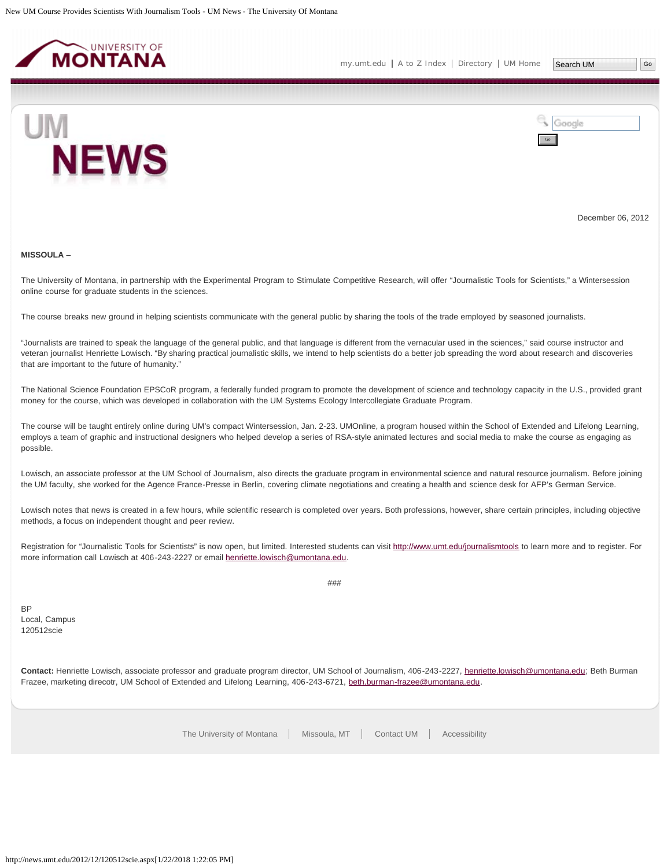<span id="page-32-0"></span>



December 06, 2012

#### **MISSOULA** –

The University of Montana, in partnership with the Experimental Program to Stimulate Competitive Research, will offer "Journalistic Tools for Scientists," a Wintersession online course for graduate students in the sciences.

The course breaks new ground in helping scientists communicate with the general public by sharing the tools of the trade employed by seasoned journalists.

"Journalists are trained to speak the language of the general public, and that language is different from the vernacular used in the sciences," said course instructor and veteran journalist Henriette Lowisch. "By sharing practical journalistic skills, we intend to help scientists do a better job spreading the word about research and discoveries that are important to the future of humanity."

The National Science Foundation EPSCoR program, a federally funded program to promote the development of science and technology capacity in the U.S., provided grant money for the course, which was developed in collaboration with the UM Systems Ecology Intercollegiate Graduate Program.

The course will be taught entirely online during UM's compact Wintersession, Jan. 2-23. UMOnline, a program housed within the School of Extended and Lifelong Learning, employs a team of graphic and instructional designers who helped develop a series of RSA-style animated lectures and social media to make the course as engaging as possible.

Lowisch, an associate professor at the UM School of Journalism, also directs the graduate program in environmental science and natural resource journalism. Before joining the UM faculty, she worked for the Agence France-Presse in Berlin, covering climate negotiations and creating a health and science desk for AFP's German Service.

Lowisch notes that news is created in a few hours, while scientific research is completed over years. Both professions, however, share certain principles, including objective methods, a focus on independent thought and peer review.

Registration for "Journalistic Tools for Scientists" is now open, but limited. Interested students can visit<http://www.umt.edu/journalismtools> to learn more and to register. For more information call Lowisch at 406-243-2227 or email [henriette.lowisch@umontana.edu](mailto:henriette.lowisch@umontana.edu).

 $#HH$ 

BP Local, Campus 120512scie

Contact: Henriette Lowisch, associate professor and graduate program director, UM School of Journalism, 406-243-2227, [henriette.lowisch@umontana.edu](mailto:henriette.lowisch@umontana.edu); Beth Burman Frazee, marketing direcotr, UM School of Extended and Lifelong Learning, 406-243-6721, [beth.burman-frazee@umontana.edu](mailto:beth.burman-frazee@umontana.edu).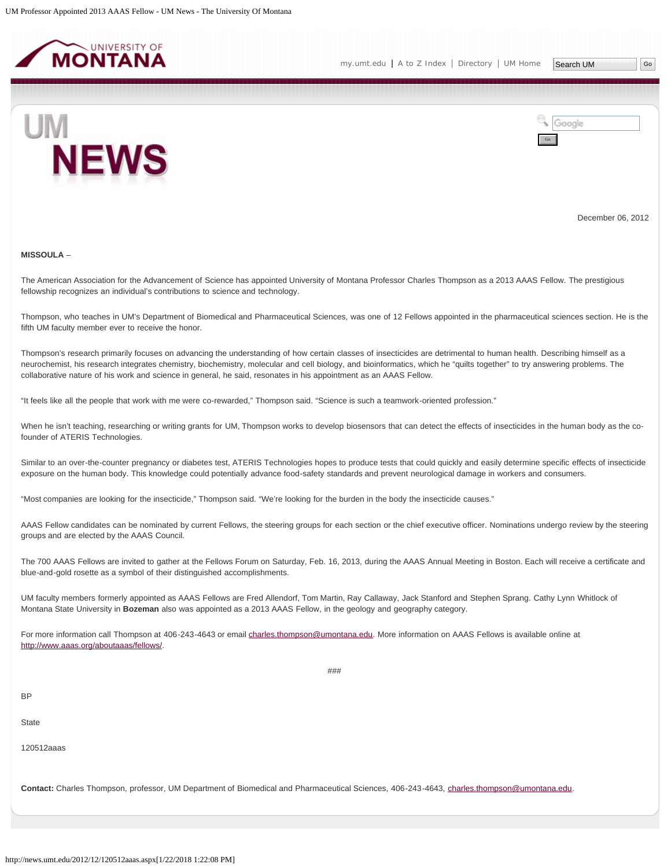<span id="page-33-0"></span>



December 06, 2012

#### **MISSOULA** –

The American Association for the Advancement of Science has appointed University of Montana Professor Charles Thompson as a 2013 AAAS Fellow. The prestigious fellowship recognizes an individual's contributions to science and technology.

Thompson, who teaches in UM's Department of Biomedical and Pharmaceutical Sciences, was one of 12 Fellows appointed in the pharmaceutical sciences section. He is the fifth UM faculty member ever to receive the honor.

Thompson's research primarily focuses on advancing the understanding of how certain classes of insecticides are detrimental to human health. Describing himself as a neurochemist, his research integrates chemistry, biochemistry, molecular and cell biology, and bioinformatics, which he "quilts together" to try answering problems. The collaborative nature of his work and science in general, he said, resonates in his appointment as an AAAS Fellow.

"It feels like all the people that work with me were co-rewarded," Thompson said. "Science is such a teamwork-oriented profession."

When he isn't teaching, researching or writing grants for UM, Thompson works to develop biosensors that can detect the effects of insecticides in the human body as the cofounder of ATERIS Technologies.

Similar to an over-the-counter pregnancy or diabetes test, ATERIS Technologies hopes to produce tests that could quickly and easily determine specific effects of insecticide exposure on the human body. This knowledge could potentially advance food-safety standards and prevent neurological damage in workers and consumers.

"Most companies are looking for the insecticide," Thompson said. "We're looking for the burden in the body the insecticide causes."

AAAS Fellow candidates can be nominated by current Fellows, the steering groups for each section or the chief executive officer. Nominations undergo review by the steering groups and are elected by the AAAS Council.

The 700 AAAS Fellows are invited to gather at the Fellows Forum on Saturday, Feb. 16, 2013, during the AAAS Annual Meeting in Boston. Each will receive a certificate and blue-and-gold rosette as a symbol of their distinguished accomplishments.

UM faculty members formerly appointed as AAAS Fellows are Fred Allendorf, Tom Martin, Ray Callaway, Jack Stanford and Stephen Sprang. Cathy Lynn Whitlock of Montana State University in **Bozeman** also was appointed as a 2013 AAAS Fellow, in the geology and geography category.

For more information call Thompson at 406-243-4643 or email [charles.thompson@umontana.edu](mailto:charles.thompson@umontana.edu). More information on AAAS Fellows is available online at <http://www.aaas.org/aboutaaas/fellows/>.

###

**BP** 

**State** 

120512aaas

**Contact:** Charles Thompson, professor, UM Department of Biomedical and Pharmaceutical Sciences, 406-243-4643, [charles.thompson@umontana.edu](mailto:charles.thompson@umontana.edu).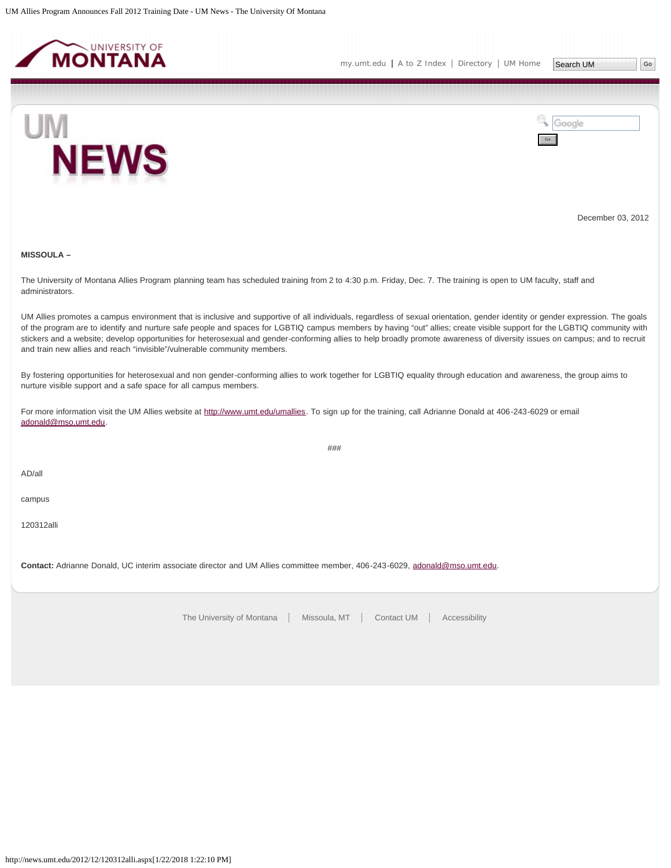<span id="page-35-0"></span>



December 03, 2012

# **MISSOULA –**

The University of Montana Allies Program planning team has scheduled training from 2 to 4:30 p.m. Friday, Dec. 7. The training is open to UM faculty, staff and administrators.

UM Allies promotes a campus environment that is inclusive and supportive of all individuals, regardless of sexual orientation, gender identity or gender expression. The goals of the program are to identify and nurture safe people and spaces for LGBTIQ campus members by having "out" allies; create visible support for the LGBTIQ community with stickers and a website; develop opportunities for heterosexual and gender-conforming allies to help broadly promote awareness of diversity issues on campus; and to recruit and train new allies and reach "invisible"/vulnerable community members.

###

By fostering opportunities for heterosexual and non gender-conforming allies to work together for LGBTIQ equality through education and awareness, the group aims to nurture visible support and a safe space for all campus members.

For more information visit the UM Allies website at<http://www.umt.edu/umallies>. To sign up for the training, call Adrianne Donald at 406-243-6029 or email [adonald@mso.umt.edu](mailto:adonald@mso.umt.edu).

AD/all

campus

120312alli

**Contact:** Adrianne Donald, UC interim associate director and UM Allies committee member, 406-243-6029, [adonald@mso.umt.edu.](mailto:adonald@mso.umt.edu)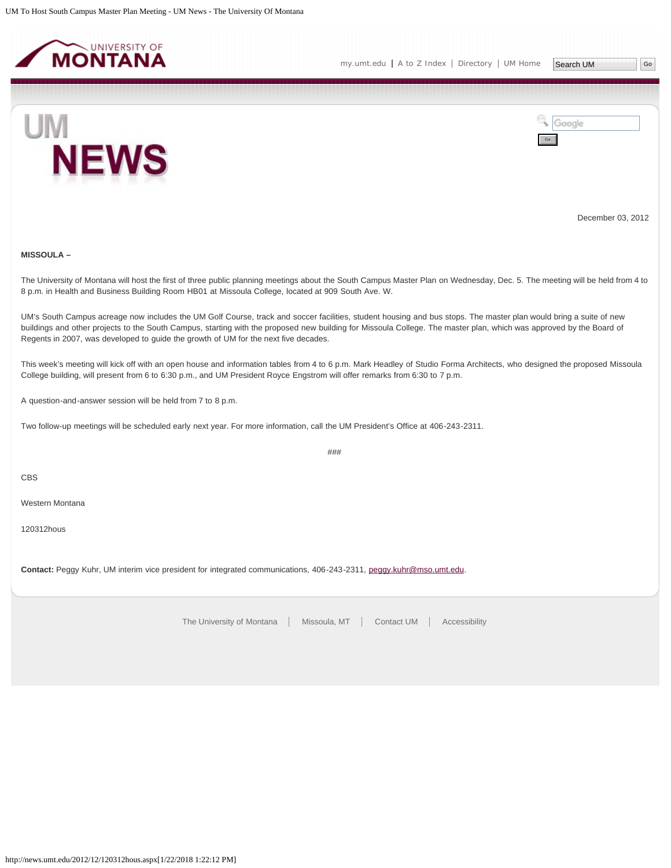<span id="page-36-0"></span>



December 03, 2012

# **MISSOULA –**

The University of Montana will host the first of three public planning meetings about the South Campus Master Plan on Wednesday, Dec. 5. The meeting will be held from 4 to 8 p.m. in Health and Business Building Room HB01 at Missoula College, located at 909 South Ave. W.

UM's South Campus acreage now includes the UM Golf Course, track and soccer facilities, student housing and bus stops. The master plan would bring a suite of new buildings and other projects to the South Campus, starting with the proposed new building for Missoula College. The master plan, which was approved by the Board of Regents in 2007, was developed to guide the growth of UM for the next five decades.

This week's meeting will kick off with an open house and information tables from 4 to 6 p.m. Mark Headley of Studio Forma Architects, who designed the proposed Missoula College building, will present from 6 to 6:30 p.m., and UM President Royce Engstrom will offer remarks from 6:30 to 7 p.m.

A question-and-answer session will be held from 7 to 8 p.m.

Two follow-up meetings will be scheduled early next year. For more information, call the UM President's Office at 406-243-2311.

###

CBS

Western Montana

120312hous

**Contact:** Peggy Kuhr, UM interim vice president for integrated communications, 406-243-2311, [peggy.kuhr@mso.umt.edu.](mailto:peggy.kuhr@mso.umt.edu)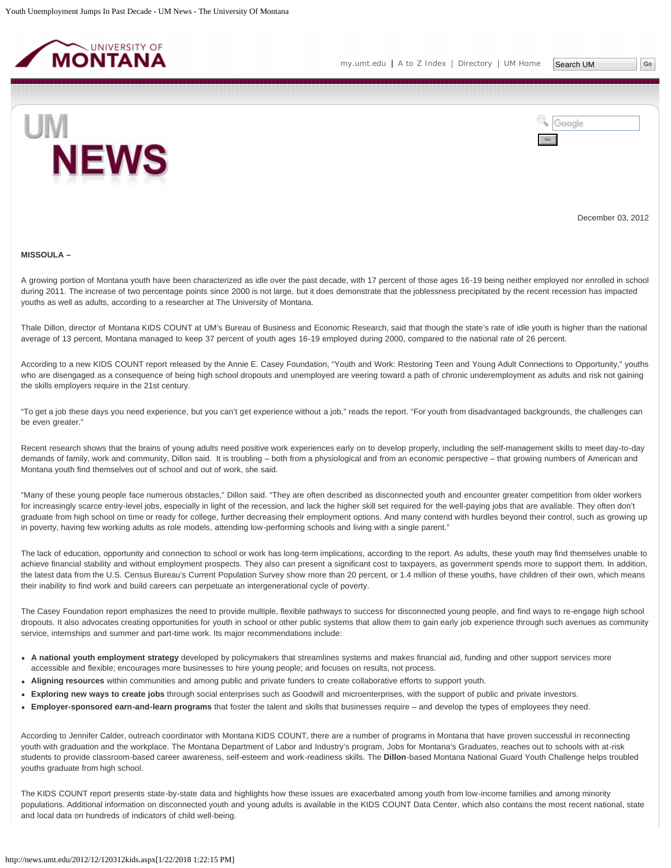<span id="page-37-0"></span>



December 03, 2012

#### **MISSOULA –**

A growing portion of Montana youth have been characterized as idle over the past decade, with 17 percent of those ages 16-19 being neither employed nor enrolled in school during 2011. The increase of two percentage points since 2000 is not large, but it does demonstrate that the joblessness precipitated by the recent recession has impacted youths as well as adults, according to a researcher at The University of Montana.

Thale Dillon, director of Montana KIDS COUNT at UM's Bureau of Business and Economic Research, said that though the state's rate of idle youth is higher than the national average of 13 percent, Montana managed to keep 37 percent of youth ages 16-19 employed during 2000, compared to the national rate of 26 percent.

According to a new KIDS COUNT report released by the Annie E. Casey Foundation, "Youth and Work: Restoring Teen and Young Adult Connections to Opportunity," youths who are disengaged as a consequence of being high school dropouts and unemployed are veering toward a path of chronic underemployment as adults and risk not gaining the skills employers require in the 21st century.

"To get a job these days you need experience, but you can't get experience without a job," reads the report. "For youth from disadvantaged backgrounds, the challenges can be even greater."

Recent research shows that the brains of young adults need positive work experiences early on to develop properly, including the self-management skills to meet day-to-day demands of family, work and community, Dillon said. It is troubling – both from a physiological and from an economic perspective – that growing numbers of American and Montana youth find themselves out of school and out of work, she said.

"Many of these young people face numerous obstacles," Dillon said. "They are often described as disconnected youth and encounter greater competition from older workers for increasingly scarce entry-level jobs, especially in light of the recession, and lack the higher skill set required for the well-paying jobs that are available. They often don't graduate from high school on time or ready for college, further decreasing their employment options. And many contend with hurdles beyond their control, such as growing up in poverty, having few working adults as role models, attending low-performing schools and living with a single parent."

The lack of education, opportunity and connection to school or work has long-term implications, according to the report. As adults, these youth may find themselves unable to achieve financial stability and without employment prospects. They also can present a significant cost to taxpayers, as government spends more to support them. In addition, the latest data from the U.S. Census Bureau's Current Population Survey show more than 20 percent, or 1.4 million of these youths, have children of their own, which means their inability to find work and build careers can perpetuate an intergenerational cycle of poverty.

The Casey Foundation report emphasizes the need to provide multiple, flexible pathways to success for disconnected young people, and find ways to re-engage high school dropouts. It also advocates creating opportunities for youth in school or other public systems that allow them to gain early job experience through such avenues as community service, internships and summer and part-time work. Its major recommendations include:

- **A national youth employment strategy** developed by policymakers that streamlines systems and makes financial aid, funding and other support services more accessible and flexible; encourages more businesses to hire young people; and focuses on results, not process.
- **Aligning resources** within communities and among public and private funders to create collaborative efforts to support youth.
- **Exploring new ways to create jobs** through social enterprises such as Goodwill and microenterprises, with the support of public and private investors.
- **Employer-sponsored earn-and-learn programs** that foster the talent and skills that businesses require and develop the types of employees they need.

According to Jennifer Calder, outreach coordinator with Montana KIDS COUNT, there are a number of programs in Montana that have proven successful in reconnecting youth with graduation and the workplace. The Montana Department of Labor and Industry's program, Jobs for Montana's Graduates, reaches out to schools with at-risk students to provide classroom-based career awareness, self-esteem and work-readiness skills. The **Dillon**-based Montana National Guard Youth Challenge helps troubled youths graduate from high school.

The KIDS COUNT report presents state-by-state data and highlights how these issues are exacerbated among youth from low-income families and among minority populations. Additional information on disconnected youth and young adults is available in the KIDS COUNT Data Center, which also contains the most recent national, state and local data on hundreds of indicators of child well-being.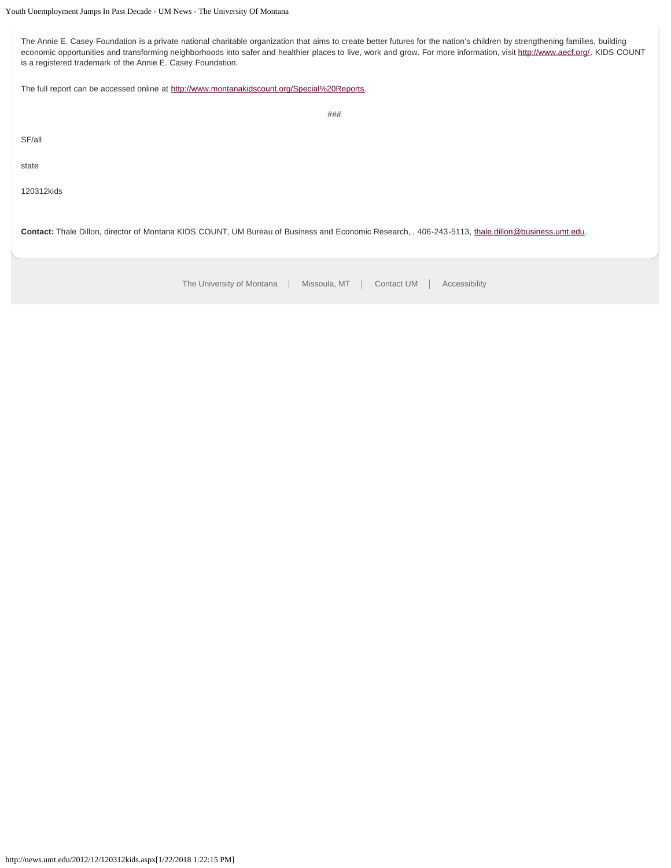Youth Unemployment Jumps In Past Decade - UM News - The University Of Montana

The Annie E. Casey Foundation is a private national charitable organization that aims to create better futures for the nation's children by strengthening families, building economic opportunities and transforming neighborhoods into safer and healthier places to live, work and grow. For more information, visit [http://www.aecf.org/.](http://www.aecf.org/) KIDS COUNT is a registered trademark of the Annie E. Casey Foundation.

###

The full report can be accessed online at [http://www.montanakidscount.org/Special%20Reports.](http://www.montanakidscount.org/Special Reports)

SF/all

state

120312kids

**Contact:** Thale Dillon, director of Montana KIDS COUNT, UM Bureau of Business and Economic Research, , 406-243-5113, [thale.dillon@business.umt.edu.](mailto:thale.dillon@business.umt.edu)